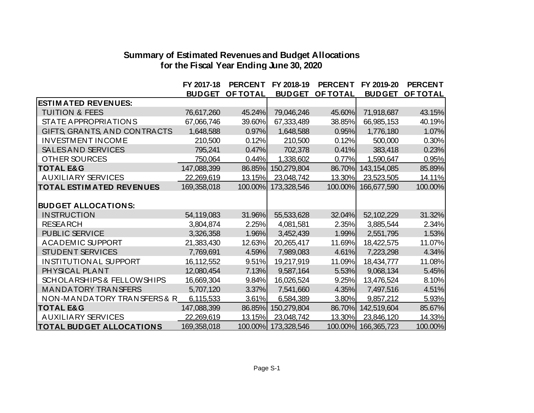## **Summary of Estimated Revenues and Budget Allocations for the Fiscal Year Ending June 30, 2020**

|                                  | FY 2017-18    | <b>PERCENT</b>  | FY 2018-19          | <b>PERCENT</b>  | FY 2019-20    | <b>PERCENT</b>  |
|----------------------------------|---------------|-----------------|---------------------|-----------------|---------------|-----------------|
|                                  | <b>BUDGET</b> | <b>OF TOTAL</b> | <b>BUDGET</b>       | <b>OF TOTAL</b> | <b>BUDGET</b> | <b>OF TOTAL</b> |
| <b>ESTIM ATED REVENUES:</b>      |               |                 |                     |                 |               |                 |
| <b>TUITION &amp; FEES</b>        | 76,617,260    | 45.24%          | 79,046,246          | 45.60%          | 71,918,687    | 43.15%          |
| <b>STATE APPROPRIATIONS</b>      | 67,066,746    | 39.60%          | 67,333,489          | 38.85%          | 66,985,153    | 40.19%          |
| GIFTS, GRANTS, AND CONTRACTS     | 1,648,588     | 0.97%           | 1,648,588           | 0.95%           | 1,776,180     | 1.07%           |
| <b>INVESTMENT INCOME</b>         | 210,500       | 0.12%           | 210,500             | 0.12%           | 500,000       | 0.30%           |
| SALES AND SERVICES               | 795,241       | 0.47%           | 702,378             | 0.41%           | 383,418       | 0.23%           |
| <b>OTHER SOURCES</b>             | 750,064       | 0.44%           | 1,338,602           | 0.77%           | 1,590,647     | 0.95%           |
| <b>TOTAL E&amp;G</b>             | 147,088,399   | 86.85%          | 150,279,804         | 86.70%          | 143,154,085   | 85.89%          |
| <b>AUXILIARY SERVICES</b>        | 22,269,619    | 13.15%          | 23,048,742          | 13.30%          | 23,523,505    | 14.11%          |
| <b>TOTAL ESTIM ATED REVENUES</b> | 169,358,018   |                 | 100.00% 173,328,546 | 100.00%         | 166,677,590   | 100.00%         |
|                                  |               |                 |                     |                 |               |                 |
| <b>BUDGET ALLOCATIONS:</b>       |               |                 |                     |                 |               |                 |
| <b>INSTRUCTION</b>               | 54,119,083    | 31.96%          | 55,533,628          | 32.04%          | 52,102,229    | 31.32%          |
| <b>RESEARCH</b>                  | 3,804,874     | 2.25%           | 4,081,581           | 2.35%           | 3,885,544     | 2.34%           |
| PUBLIC SERVICE                   | 3,326,358     | 1.96%           | 3,452,439           | 1.99%           | 2,551,795     | 1.53%           |
| <b>ACADEMIC SUPPORT</b>          | 21,383,430    | 12.63%          | 20,265,417          | 11.69%          | 18,422,575    | 11.07%          |
| STUDENT SERVICES                 | 7,769,691     | 4.59%           | 7,989,083           | 4.61%           | 7,223,298     | 4.34%           |
| <b>INSTITUTIONAL SUPPORT</b>     | 16,112,552    | 9.51%           | 19,217,919          | 11.09%          | 18,434,777    | 11.08%          |
| PHYSICAL PLANT                   | 12,080,454    | 7.13%           | 9,587,164           | 5.53%           | 9,068,134     | 5.45%           |
| SCHOLARSHIPS & FELLOWSHIPS       | 16,669,304    | 9.84%           | 16,026,524          | 9.25%           | 13,476,524    | 8.10%           |
| <b>MANDATORY TRANSFERS</b>       | 5,707,120     | 3.37%           | 7,541,660           | 4.35%           | 7,497,516     | 4.51%           |
| NON-MANDATORY TRANSFERS & R      | 6,115,533     | 3.61%           | 6,584,389           | 3.80%           | 9,857,212     | 5.93%           |
| <b>TOTAL E&amp;G</b>             | 147,088,399   | 86.85%          | 150,279,804         | 86.70%          | 142,519,604   | 85.67%          |
| AUXILIARY SERVICES               | 22,269,619    | 13.15%          | 23,048,742          | 13.30%          | 23,846,120    | 14.33%          |
| <b>TOTAL BUDGET ALLOCATIONS</b>  | 169,358,018   |                 | 100.00% 173,328,546 | 100.00%         | 166,365,723   | 100.00%         |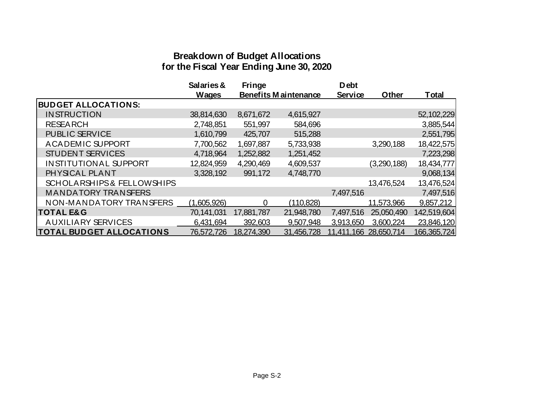# **Breakdown of Budget Allocations for the Fiscal Year Ending June 30, 2020**

|                                       | Salaries &   | <b>Fringe</b> |                      | <b>Debt</b>    |             |              |
|---------------------------------------|--------------|---------------|----------------------|----------------|-------------|--------------|
|                                       | <b>Wages</b> |               | Benefits Maintenance | <b>Service</b> | Other       | <b>Total</b> |
| <b>BUDGET ALLOCATIONS:</b>            |              |               |                      |                |             |              |
| <b>INSTRUCTION</b>                    | 38,814,630   | 8,671,672     | 4,615,927            |                |             | 52,102,229   |
| <b>RESEARCH</b>                       | 2,748,851    | 551,997       | 584,696              |                |             | 3,885,544    |
| <b>PUBLIC SERVICE</b>                 | 1,610,799    | 425,707       | 515,288              |                |             | 2,551,795    |
| <b>ACADEMIC SUPPORT</b>               | 7,700,562    | 1,697,887     | 5,733,938            |                | 3,290,188   | 18,422,575   |
| <b>STUDENT SERVICES</b>               | 4,718,964    | 1,252,882     | 1,251,452            |                |             | 7,223,298    |
| <b>INSTITUTIONAL SUPPORT</b>          | 12,824,959   | 4,290,469     | 4,609,537            |                | (3,290,188) | 18,434,777   |
| PHYSICAL PLANT                        | 3,328,192    | 991,172       | 4,748,770            |                |             | 9,068,134    |
| <b>SCHOLARSHIPS &amp; FELLOWSHIPS</b> |              |               |                      |                | 13,476,524  | 13,476,524   |
| <b>MANDATORY TRANSFERS</b>            |              |               |                      | 7,497,516      |             | 7,497,516    |
| NON-MANDATORY TRANSFERS               | (1,605,926)  | $\Omega$      | (110, 828)           |                | 11,573,966  | 9,857,212    |
| <b>TOTAL E&amp;G</b>                  | 70,141,031   | 17,881,787    | 21,948,780           | 7,497,516      | 25,050,490  | 142,519,604  |
| AUXILIARY SERVICES                    | 6,431,694    | 392,603       | 9,507,948            | 3,913,650      | 3,600,224   | 23,846,120   |
| <b>TOTAL BUDGET ALLOCATIONS</b>       | 76,572,726   | 18,274,390    | 31,456,728           | 11,411,166     | 28,650,714  | 166,365,724  |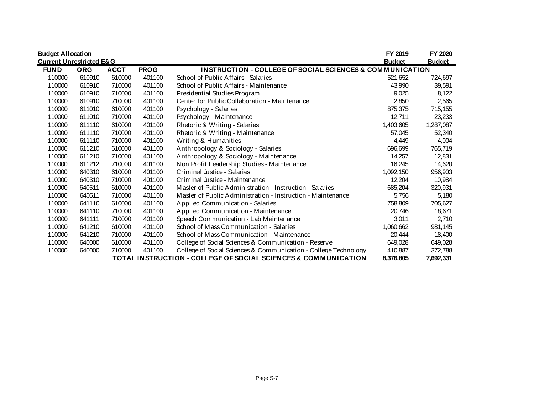| <b>Budget Allocation</b>            |            |             |             |                                                                     | FY 2019       | FY 2020       |
|-------------------------------------|------------|-------------|-------------|---------------------------------------------------------------------|---------------|---------------|
| <b>Current Unrestricted E&amp;G</b> |            |             |             |                                                                     | <b>Budget</b> | <b>Budget</b> |
| <b>FUND</b>                         | <b>ORG</b> | <b>ACCT</b> | <b>PROG</b> | <b>INSTRUCTION - COLLEGE OF SOCIAL SCIENCES &amp; COMMUNICATION</b> |               |               |
| 110000                              | 610910     | 610000      | 401100      | School of Public Affairs - Salaries                                 | 521,652       | 724,697       |
| 110000                              | 610910     | 710000      | 401100      | School of Public Affairs - Maintenance                              | 43,990        | 39,591        |
| 110000                              | 610910     | 710000      | 401100      | Presidential Studies Program                                        | 9,025         | 8,122         |
| 110000                              | 610910     | 710000      | 401100      | Center for Public Collaboration - Maintenance                       | 2,850         | 2,565         |
| 110000                              | 611010     | 610000      | 401100      | Psychology - Salaries                                               | 875,375       | 715,155       |
| 110000                              | 611010     | 710000      | 401100      | Psychology - Maintenance                                            | 12,711        | 23,233        |
| 110000                              | 611110     | 610000      | 401100      | Rhetoric & Writing - Salaries                                       | 1,403,605     | 1,287,087     |
| 110000                              | 611110     | 710000      | 401100      | Rhetoric & Writing - Maintenance                                    | 57,045        | 52,340        |
| 110000                              | 611110     | 710000      | 401100      | Writing & Humanities                                                | 4,449         | 4,004         |
| 110000                              | 611210     | 610000      | 401100      | Anthropology & Sociology - Salaries                                 | 696,699       | 765,719       |
| 110000                              | 611210     | 710000      | 401100      | Anthropology & Sociology - Maintenance                              | 14,257        | 12,831        |
| 110000                              | 611212     | 710000      | 401100      | Non Profit Leadership Studies - Maintenance                         | 16,245        | 14,620        |
| 110000                              | 640310     | 610000      | 401100      | Criminal Justice - Salaries                                         | 1,092,150     | 956,903       |
| 110000                              | 640310     | 710000      | 401100      | Criminal Justice - Maintenance                                      | 12,204        | 10,984        |
| 110000                              | 640511     | 610000      | 401100      | Master of Public Administration - Instruction - Salaries            | 685,204       | 320,931       |
| 110000                              | 640511     | 710000      | 401100      | Master of Public Administration - Instruction - Maintenance         | 5,756         | 5,180         |
| 110000                              | 641110     | 610000      | 401100      | Applied Communication - Salaries                                    | 758,809       | 705,627       |
| 110000                              | 641110     | 710000      | 401100      | Applied Communication - Maintenance                                 | 20,746        | 18,671        |
| 110000                              | 641111     | 710000      | 401100      | Speech Communication - Lab Maintenance                              | 3,011         | 2,710         |
| 110000                              | 641210     | 610000      | 401100      | School of Mass Communication - Salaries                             | 1,060,662     | 981,145       |
| 110000                              | 641210     | 710000      | 401100      | School of Mass Communication - Maintenance                          | 20,444        | 18,400        |
| 110000                              | 640000     | 610000      | 401100      | College of Social Sciences & Communication - Reserve                | 649,028       | 649,028       |
| 110000                              | 640000     | 710000      | 401100      | College of Social Sciences & Communication - College Technology     | 410,887       | 372,788       |
|                                     |            |             |             | TOTAL INSTRUCTION - COLLEGE OF SOCIAL SCIENCES & COMMUNICATION      | 8,376,805     | 7,692,331     |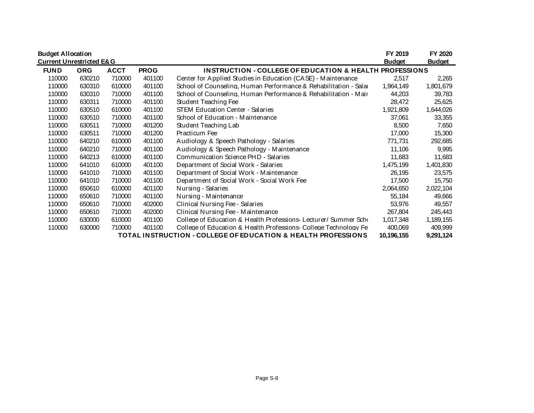| <b>Budget Allocation</b>            |            |             |             |                                                                    | FY 2019       | FY 2020       |
|-------------------------------------|------------|-------------|-------------|--------------------------------------------------------------------|---------------|---------------|
| <b>Current Unrestricted E&amp;G</b> |            |             |             |                                                                    | <b>Budget</b> | <b>Budget</b> |
| <b>FUND</b>                         | <b>ORG</b> | <b>ACCT</b> | <b>PROG</b> | <b>INSTRUCTION - COLLEGE OF EDUCATION &amp; HEALTH PROFESSIONS</b> |               |               |
| 110000                              | 630210     | 710000      | 401100      | Center for Applied Studies in Education (CASE) - Maintenance       | 2,517         | 2,265         |
| 110000                              | 630310     | 610000      | 401100      | School of Counseling, Human Performance & Rehabilitation - Salar   | 1,964,149     | 1,801,679     |
| 110000                              | 630310     | 710000      | 401100      | School of Counseling, Human Performance & Rehabilitation - Mair    | 44,203        | 39,783        |
| 110000                              | 630311     | 710000      | 401100      | Student Teaching Fee                                               | 28,472        | 25,625        |
| 110000                              | 630510     | 610000      | 401100      | STEM Education Center - Salaries                                   | 1,921,809     | 1,644,026     |
| 110000                              | 630510     | 710000      | 401100      | School of Education - Maintenance                                  | 37,061        | 33,355        |
| 110000                              | 630511     | 710000      | 401200      | Student Teaching Lab                                               | 8,500         | 7,650         |
| 110000                              | 630511     | 710000      | 401200      | Practicum Fee                                                      | 17,000        | 15,300        |
| 110000                              | 640210     | 610000      | 401100      | Audiology & Speech Pathology - Salaries                            | 771,731       | 292,685       |
| 110000                              | 640210     | 710000      | 401100      | Audiology & Speech Pathology - Maintenance                         | 11,106        | 9,995         |
| 110000                              | 640213     | 610000      | 401100      | Communication Science PHD - Salaries                               | 11,683        | 11,683        |
| 110000                              | 641010     | 610000      | 401100      | Department of Social Work - Salaries                               | 1,475,199     | 1,401,830     |
| 110000                              | 641010     | 710000      | 401100      | Department of Social Work - Maintenance                            | 26,195        | 23,575        |
| 110000                              | 641010     | 710000      | 401100      | Department of Social Work - Social Work Fee                        | 17,500        | 15,750        |
| 110000                              | 650610     | 610000      | 401100      | Nursing - Salaries                                                 | 2,064,650     | 2,022,104     |
| 110000                              | 650610     | 710000      | 401100      | Nursing - Maintenance                                              | 55,184        | 49,666        |
| 110000                              | 650610     | 710000      | 402000      | Clinical Nursing Fee - Salaries                                    | 53,976        | 49,557        |
| 110000                              | 650610     | 710000      | 402000      | Clinical Nursing Fee - Maintenance                                 | 267,804       | 245,443       |
| 110000                              | 630000     | 610000      | 401100      | College of Education & Health Professions-Lecturer/ Summer Scho    | 1,017,348     | 1,189,155     |
| 110000                              | 630000     | 710000      | 401100      | College of Education & Health Professions-College Technology Fe    | 400,069       | 409,999       |
|                                     |            |             |             | TOTAL INSTRUCTION - COLLEGE OF EDUCATION & HEALTH PROFESSIONS      | 10,196,155    | 9,291,124     |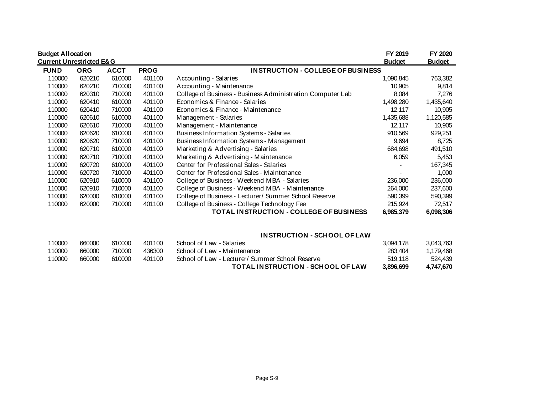| <b>Budget Allocation</b><br><b>Current Unrestricted E&amp;G</b> |            |             |             |                                                            | FY 2019<br><b>Budget</b> | FY 2020<br><b>Budget</b> |
|-----------------------------------------------------------------|------------|-------------|-------------|------------------------------------------------------------|--------------------------|--------------------------|
| <b>FUND</b>                                                     | <b>ORG</b> | <b>ACCT</b> | <b>PROG</b> | <b>INSTRUCTION - COLLEGE OF BUSINESS</b>                   |                          |                          |
| 110000                                                          | 620210     | 610000      | 401100      | Accounting - Salaries                                      | 1,090,845                | 763,382                  |
| 110000                                                          | 620210     | 710000      | 401100      | Accounting - Maintenance                                   | 10,905                   | 9,814                    |
| 110000                                                          | 620310     | 710000      | 401100      | College of Business - Business Administration Computer Lab | 8,084                    | 7,276                    |
| 110000                                                          | 620410     | 610000      | 401100      | Economics & Finance - Salaries                             | 1,498,280                | 1,435,640                |
| 110000                                                          | 620410     | 710000      | 401100      | Economics & Finance - Maintenance                          | 12,117                   | 10,905                   |
| 110000                                                          | 620610     | 610000      | 401100      | Management - Salaries                                      | 1,435,688                | 1,120,585                |
| 110000                                                          | 620610     | 710000      | 401100      | Management - Maintenance                                   | 12.117                   | 10,905                   |
| 110000                                                          | 620620     | 610000      | 401100      | Business Information Systems - Salaries                    | 910,569                  | 929,251                  |
| 110000                                                          | 620620     | 710000      | 401100      | Business Information Systems - Management                  | 9,694                    | 8,725                    |
| 110000                                                          | 620710     | 610000      | 401100      | Marketing & Advertising - Salaries                         | 684,698                  | 491,510                  |
| 110000                                                          | 620710     | 710000      | 401100      | Marketing & Advertising - Maintenance                      | 6,059                    | 5,453                    |
| 110000                                                          | 620720     | 610000      | 401100      | Center for Professional Sales - Salaries                   |                          | 167,345                  |
| 110000                                                          | 620720     | 710000      | 401100      | Center for Professional Sales - Maintenance                |                          | 1,000                    |
| 110000                                                          | 620910     | 610000      | 401100      | College of Business - Weekend MBA - Salaries               | 236,000                  | 236,000                  |
| 110000                                                          | 620910     | 710000      | 401100      | College of Business - Weekend MBA - Maintenance            | 264,000                  | 237,600                  |
| 110000                                                          | 620000     | 610000      | 401100      | College of Business - Lecturer/ Summer School Reserve      | 590,399                  | 590,399                  |
| 110000                                                          | 620000     | 710000      | 401100      | College of Business - College Technology Fee               | 215,924                  | 72,517                   |
|                                                                 |            |             |             | TOTAL INSTRUCTION - COLLEGE OF BUSINESS                    | 6,985,379                | 6,098,306                |

#### **INSTRUCTION - SCHOOL OF LAW**

|        |        |        |        | TOTAL INSTRUCTION - SCHOOL OF LAW              | 3.896.699 | 4.747.670 |
|--------|--------|--------|--------|------------------------------------------------|-----------|-----------|
| 110000 | 660000 | 610000 | 401100 | School of Law - Lecturer/Summer School Reserve | 519.118   | 524.439   |
| 110000 | 660000 | 710000 | 436300 | School of Law - Maintenance                    | 283.404   | 1.179.468 |
| 110000 | 660000 | 610000 | 401100 | School of Law - Salaries                       | 3.094.178 | 3.043.763 |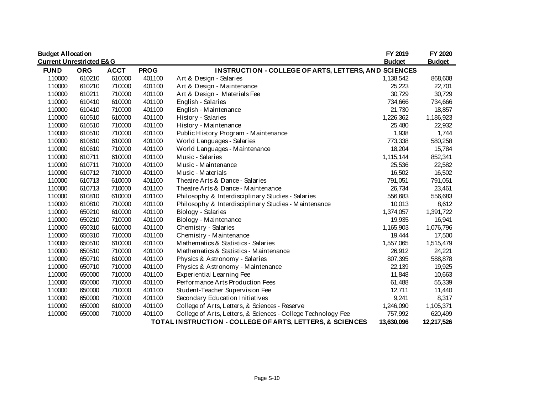| <b>Budget Allocation</b>            |            |             |             |                                                               | FY 2019       | FY 2020       |
|-------------------------------------|------------|-------------|-------------|---------------------------------------------------------------|---------------|---------------|
| <b>Current Unrestricted E&amp;G</b> |            |             |             |                                                               | <b>Budget</b> | <b>Budget</b> |
| <b>FUND</b>                         | <b>ORG</b> | <b>ACCT</b> | <b>PROG</b> | <b>INSTRUCTION - COLLEGE OF ARTS, LETTERS, AND SCIENCES</b>   |               |               |
| 110000                              | 610210     | 610000      | 401100      | Art & Design - Salaries                                       | 1,138,542     | 868,608       |
| 110000                              | 610210     | 710000      | 401100      | Art & Design - Maintenance                                    | 25,223        | 22,701        |
| 110000                              | 610211     | 710000      | 401100      | Art & Design - Materials Fee                                  | 30,729        | 30,729        |
| 110000                              | 610410     | 610000      | 401100      | English - Salaries                                            | 734,666       | 734,666       |
| 110000                              | 610410     | 710000      | 401100      | English - Maintenance                                         | 21,730        | 18,857        |
| 110000                              | 610510     | 610000      | 401100      | History - Salaries                                            | 1,226,362     | 1,186,923     |
| 110000                              | 610510     | 710000      | 401100      | History - Maintenance                                         | 25,480        | 22,932        |
| 110000                              | 610510     | 710000      | 401100      | Public History Program - Maintenance                          | 1,938         | 1,744         |
| 110000                              | 610610     | 610000      | 401100      | World Languages - Salaries                                    | 773,338       | 580,258       |
| 110000                              | 610610     | 710000      | 401100      | World Languages - Maintenance                                 | 18,204        | 15,784        |
| 110000                              | 610711     | 610000      | 401100      | Music - Salaries                                              | 1,115,144     | 852,341       |
| 110000                              | 610711     | 710000      | 401100      | Music - Maintenance                                           | 25,536        | 22,582        |
| 110000                              | 610712     | 710000      | 401100      | Music - Materials                                             | 16,502        | 16,502        |
| 110000                              | 610713     | 610000      | 401100      | Theatre Arts & Dance - Salaries                               | 791,051       | 791,051       |
| 110000                              | 610713     | 710000      | 401100      | Theatre Arts & Dance - Maintenance                            | 26,734        | 23,461        |
| 110000                              | 610810     | 610000      | 401100      | Philosophy & Interdisciplinary Studies - Salaries             | 556,683       | 556,683       |
| 110000                              | 610810     | 710000      | 401100      | Philosophy & Interdisciplinary Studies - Maintenance          | 10,013        | 8,612         |
| 110000                              | 650210     | 610000      | 401100      | Biology - Salaries                                            | 1,374,057     | 1,391,722     |
| 110000                              | 650210     | 710000      | 401100      | Biology - Maintenance                                         | 19,935        | 16,941        |
| 110000                              | 650310     | 610000      | 401100      | Chemistry - Salaries                                          | 1,165,903     | 1,076,796     |
| 110000                              | 650310     | 710000      | 401100      | Chemistry - Maintenance                                       | 19,444        | 17,500        |
| 110000                              | 650510     | 610000      | 401100      | Mathematics & Statistics - Salaries                           | 1,557,065     | 1,515,479     |
| 110000                              | 650510     | 710000      | 401100      | Mathematics & Statistics - Maintenance                        | 26,912        | 24,221        |
| 110000                              | 650710     | 610000      | 401100      | Physics & Astronomy - Salaries                                | 807,395       | 588,878       |
| 110000                              | 650710     | 710000      | 401100      | Physics & Astronomy - Maintenance                             | 22,139        | 19,925        |
| 110000                              | 650000     | 710000      | 401100      | <b>Experiential Learning Fee</b>                              | 11,848        | 10,663        |
| 110000                              | 650000     | 710000      | 401100      | Performance Arts Production Fees                              | 61,488        | 55,339        |
| 110000                              | 650000     | 710000      | 401100      | Student-Teacher Supervision Fee                               | 12,711        | 11,440        |
| 110000                              | 650000     | 710000      | 401100      | Secondary Education Initiatives                               | 9,241         | 8,317         |
| 110000                              | 650000     | 610000      | 401100      | College of Arts, Letters, & Sciences - Reserve                | 1,246,090     | 1,105,371     |
| 110000                              | 650000     | 710000      | 401100      | College of Arts, Letters, & Sciences - College Technology Fee | 757,992       | 620,499       |
|                                     |            |             |             | TOTAL INSTRUCTION - COLLEGE OF ARTS, LETTERS, & SCIENCES      | 13,630,096    | 12,217,526    |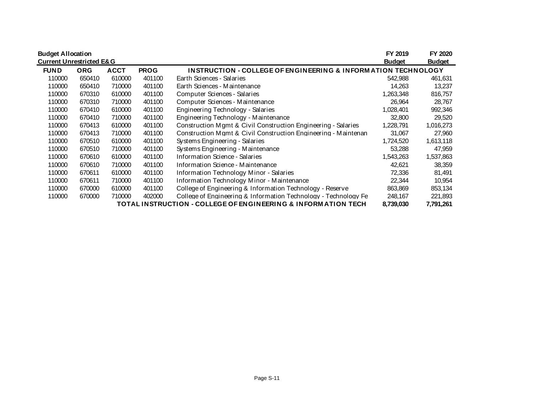| <b>Budget Allocation</b>                                                                |            |             |             |                                                                          | FY 2019       | FY 2020       |  |
|-----------------------------------------------------------------------------------------|------------|-------------|-------------|--------------------------------------------------------------------------|---------------|---------------|--|
| <b>Current Unrestricted E&amp;G</b>                                                     |            |             |             |                                                                          | <b>Budget</b> | <u>Budget</u> |  |
| <b>FUND</b>                                                                             | <b>ORG</b> | <b>ACCT</b> | <b>PROG</b> | <b>INSTRUCTION - COLLEGE OF ENGINEERING &amp; INFORMATION TECHNOLOGY</b> |               |               |  |
| 110000                                                                                  | 650410     | 610000      | 401100      | Earth Sciences - Salaries                                                | 542,988       | 461,631       |  |
| 110000                                                                                  | 650410     | 710000      | 401100      | Earth Sciences - Maintenance                                             | 14,263        | 13,237        |  |
| 110000                                                                                  | 670310     | 610000      | 401100      | Computer Sciences - Salaries                                             | 1,263,348     | 816,757       |  |
| 110000                                                                                  | 670310     | 710000      | 401100      | Computer Sciences - Maintenance                                          | 26,964        | 28,767        |  |
| 110000                                                                                  | 670410     | 610000      | 401100      | Engineering Technology - Salaries                                        | 1,028,401     | 992,346       |  |
| 110000                                                                                  | 670410     | 710000      | 401100      | Engineering Technology - Maintenance                                     | 32,800        | 29,520        |  |
| 110000                                                                                  | 670413     | 610000      | 401100      | Construction Mgmt & Civil Construction Engineering - Salaries            | 1,228,791     | 1,016,273     |  |
| 110000                                                                                  | 670413     | 710000      | 401100      | Construction Mamt & Civil Construction Engineering - Maintenan           | 31,067        | 27,960        |  |
| 110000                                                                                  | 670510     | 610000      | 401100      | Systems Engineering - Salaries                                           | 1,724,520     | 1,613,118     |  |
| 110000                                                                                  | 670510     | 710000      | 401100      | Systems Engineering - Maintenance                                        | 53,288        | 47,959        |  |
| 110000                                                                                  | 670610     | 610000      | 401100      | Information Science - Salaries                                           | 1,543,263     | 1,537,863     |  |
| 110000                                                                                  | 670610     | 710000      | 401100      | Information Science - Maintenance                                        | 42,621        | 38,359        |  |
| 110000                                                                                  | 670611     | 610000      | 401100      | Information Technology Minor - Salaries                                  | 72,336        | 81,491        |  |
| 110000                                                                                  | 670611     | 710000      | 401100      | Information Technology Minor - Maintenance                               | 22,344        | 10,954        |  |
| 110000                                                                                  | 670000     | 610000      | 401100      | College of Engineering & Information Technology - Reserve                | 863,869       | 853,134       |  |
| 110000                                                                                  | 670000     | 710000      | 402000      | College of Engineering & Information Technology - Technology Fe          | 248,167       | 221,893       |  |
| TOTAL INSTRUCTION - COLLEGE OF ENGINEERING & INFORMATION TECH<br>8,739,030<br>7,791,261 |            |             |             |                                                                          |               |               |  |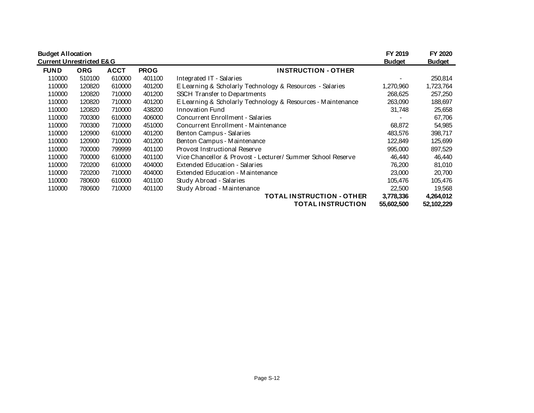|             | <b>Budget Allocation</b><br><b>Current Unrestricted E&amp;G</b> |             |             |                                                             |            |            |
|-------------|-----------------------------------------------------------------|-------------|-------------|-------------------------------------------------------------|------------|------------|
| <b>FUND</b> | <b>ORG</b>                                                      | <b>ACCT</b> | <b>PROG</b> | <b>INSTRUCTION - OTHER</b>                                  |            |            |
| 110000      | 510100                                                          | 610000      | 401100      | Integrated IT - Salaries                                    |            | 250.814    |
| 110000      | 120820                                                          | 610000      | 401200      | E Learning & Scholarly Technology & Resources - Salaries    | 1,270,960  | 1,723,764  |
| 110000      | 120820                                                          | 710000      | 401200      | SSCH Transfer to Departments                                | 268,625    | 257,250    |
| 110000      | 120820                                                          | 710000      | 401200      | E Learning & Scholarly Technology & Resources - Maintenance | 263,090    | 188,697    |
| 110000      | 120820                                                          | 710000      | 438200      | <b>Innovation Fund</b>                                      | 31,748     | 25,658     |
| 110000      | 700300                                                          | 610000      | 406000      | Concurrent Enrollment - Salaries                            |            | 67,706     |
| 110000      | 700300                                                          | 710000      | 451000      | Concurrent Enrollment - Maintenance                         | 68,872     | 54,985     |
| 110000      | 120900                                                          | 610000      | 401200      | Benton Campus - Salaries                                    | 483,576    | 398,717    |
| 110000      | 120900                                                          | 710000      | 401200      | Benton Campus - Maintenance                                 | 122,849    | 125,699    |
| 110000      | 700000                                                          | 799999      | 401100      | Provost Instructional Reserve                               | 995,000    | 897,529    |
| 110000      | 700000                                                          | 610000      | 401100      | Vice Chancellor & Provost - Lecturer/ Summer School Reserve | 46,440     | 46,440     |
| 110000      | 720200                                                          | 610000      | 404000      | Extended Education - Salaries                               | 76,200     | 81,010     |
| 110000      | 720200                                                          | 710000      | 404000      | Extended Education - Maintenance                            | 23,000     | 20,700     |
| 110000      | 780600                                                          | 610000      | 401100      | Study Abroad - Salaries                                     | 105,476    | 105,476    |
| 110000      | 780600                                                          | 710000      | 401100      | Study Abroad - Maintenance                                  | 22,500     | 19,568     |
|             |                                                                 |             |             | <b>TOTAL INSTRUCTION - OTHER</b>                            | 3,778,336  | 4,264,012  |
|             |                                                                 |             |             | <b>TOTAL INSTRUCTION</b>                                    | 55,602,500 | 52,102,229 |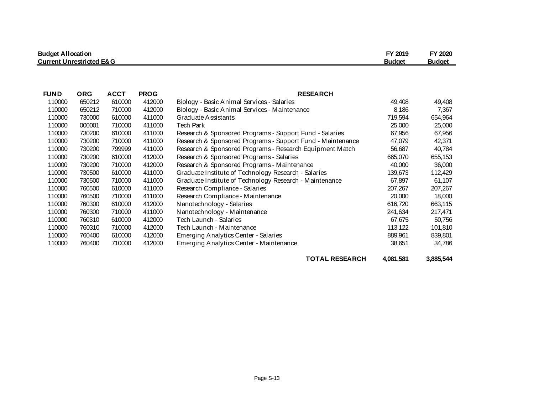| <b>Budget Allocation</b>            | FY 2019       | FY 2020       |
|-------------------------------------|---------------|---------------|
| <b>Current Unrestricted E&amp;G</b> | <b>Budget</b> | <b>Budget</b> |

| <b>FUND</b> | <b>ORG</b> | <b>ACCT</b> | <b>PROG</b> | <b>RESEARCH</b>                                            |         |         |
|-------------|------------|-------------|-------------|------------------------------------------------------------|---------|---------|
| 110000      | 650212     | 610000      | 412000      | Biology - Basic Animal Services - Salaries                 | 49,408  | 49,408  |
| 110000      | 650212     | 710000      | 412000      | Biology - Basic Animal Services - Maintenance              | 8,186   | 7,367   |
| 110000      | 730000     | 610000      | 411000      | Graduate Assistants                                        | 719,594 | 654,964 |
| 110000      | 000001     | 710000      | 411000      | Tech Park                                                  | 25,000  | 25,000  |
| 110000      | 730200     | 610000      | 411000      | Research & Sponsored Programs - Support Fund - Salaries    | 67,956  | 67,956  |
| 110000      | 730200     | 710000      | 411000      | Research & Sponsored Programs - Support Fund - Maintenance | 47,079  | 42,371  |
| 110000      | 730200     | 799999      | 411000      | Research & Sponsored Programs - Research Equipment Match   | 56,687  | 40,784  |
| 110000      | 730200     | 610000      | 412000      | Research & Sponsored Programs - Salaries                   | 665,070 | 655,153 |
| 110000      | 730200     | 710000      | 412000      | Research & Sponsored Programs - Maintenance                | 40,000  | 36,000  |
| 110000      | 730500     | 610000      | 411000      | Graduate Institute of Technology Research - Salaries       | 139,673 | 112,429 |
| 110000      | 730500     | 710000      | 411000      | Graduate Institute of Technology Research - Maintenance    | 67,897  | 61,107  |
| 110000      | 760500     | 610000      | 411000      | Research Compliance - Salaries                             | 207,267 | 207,267 |
| 110000      | 760500     | 710000      | 411000      | Research Compliance - Maintenance                          | 20,000  | 18,000  |
| 110000      | 760300     | 610000      | 412000      | Nanotechnology - Salaries                                  | 616,720 | 663,115 |
| 110000      | 760300     | 710000      | 411000      | Nanotechnology - Maintenance                               | 241,634 | 217,471 |
| 110000      | 760310     | 610000      | 412000      | Tech Launch - Salaries                                     | 67,675  | 50,756  |
| 110000      | 760310     | 710000      | 412000      | Tech Launch - Maintenance                                  | 113,122 | 101,810 |
| 110000      | 760400     | 610000      | 412000      | Emerging Analytics Center - Salaries                       | 889,961 | 839,801 |
| 110000      | 760400     | 710000      | 412000      | Emerging Analytics Center - Maintenance                    | 38,651  | 34,786  |
|             |            |             |             |                                                            |         |         |

**TOTAL RESEARCH 4,081,581 3,885,544**

Page S-13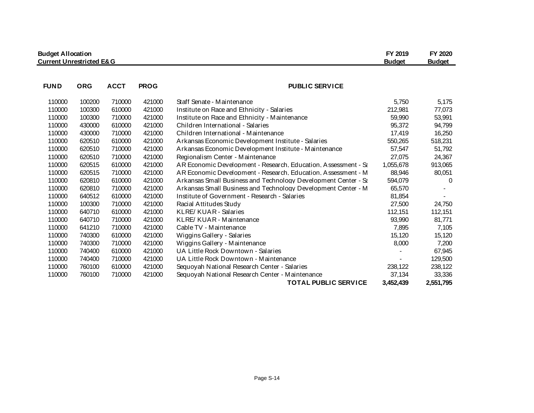| <b>Budget Allocation</b><br><b>Current Unrestricted E&amp;G</b> |            |             |             |                                                                | FY 2019<br><b>Budget</b> | FY 2020<br><b>Budget</b> |
|-----------------------------------------------------------------|------------|-------------|-------------|----------------------------------------------------------------|--------------------------|--------------------------|
| <b>FUND</b>                                                     | <b>ORG</b> | <b>ACCT</b> | <b>PROG</b> | <b>PUBLIC SERVICE</b>                                          |                          |                          |
|                                                                 |            |             |             |                                                                |                          |                          |
| 110000                                                          | 100200     | 710000      | 421000      | Staff Senate - Maintenance                                     | 5,750                    | 5,175                    |
| 110000                                                          | 100300     | 610000      | 421000      | Institute on Race and Ethnicity - Salaries                     | 212,981                  | 77,073                   |
| 110000                                                          | 100300     | 710000      | 421000      | Institute on Race and Ethnicity - Maintenance                  | 59,990                   | 53,991                   |
| 110000                                                          | 430000     | 610000      | 421000      | Children International - Salaries                              | 95,372                   | 94,799                   |
| 110000                                                          | 430000     | 710000      | 421000      | Children International - Maintenance                           | 17,419                   | 16,250                   |
| 110000                                                          | 620510     | 610000      | 421000      | Arkansas Economic Development Institute - Salaries             | 550,265                  | 518,231                  |
| 110000                                                          | 620510     | 710000      | 421000      | Arkansas Economic Development Institute - Maintenance          | 57,547                   | 51,792                   |
| 110000                                                          | 620510     | 710000      | 421000      | Regionalism Center - Maintenance                               | 27,075                   | 24,367                   |
| 110000                                                          | 620515     | 610000      | 421000      | AR Economic Development - Research, Education, Assessment - Sa | 1,055,678                | 913,065                  |
| 110000                                                          | 620515     | 710000      | 421000      | AR Economic Development - Research, Education, Assessment - M  | 88,946                   | 80,051                   |
| 110000                                                          | 620810     | 610000      | 421000      | Arkansas Small Business and Technology Development Center - Se | 594,079                  | 0                        |
| 110000                                                          | 620810     | 710000      | 421000      | Arkansas Small Business and Technology Development Center - M  | 65,570                   |                          |
| 110000                                                          | 640512     | 610000      | 421000      | Institute of Government - Research - Salaries                  | 81,854                   |                          |
| 110000                                                          | 100300     | 710000      | 421000      | Racial Attitudes Study                                         | 27,500                   | 24,750                   |
| 110000                                                          | 640710     | 610000      | 421000      | <b>KLRE/ KUAR - Salaries</b>                                   | 112,151                  | 112,151                  |
| 110000                                                          | 640710     | 710000      | 421000      | KLRE/ KUAR - Maintenance                                       | 93,990                   | 81,771                   |
| 110000                                                          | 641210     | 710000      | 421000      | Cable TV - Maintenance                                         | 7,895                    | 7,105                    |
| 110000                                                          | 740300     | 610000      | 421000      | Wiggins Gallery - Salaries                                     | 15,120                   | 15,120                   |
| 110000                                                          | 740300     | 710000      | 421000      | Wiggins Gallery - Maintenance                                  | 8,000                    | 7,200                    |
| 110000                                                          | 740400     | 610000      | 421000      | UA Little Rock Downtown - Salaries                             |                          | 67,945                   |
| 110000                                                          | 740400     | 710000      | 421000      | UA Little Rock Downtown - Maintenance                          |                          | 129,500                  |
| 110000                                                          | 760100     | 610000      | 421000      | Sequoyah National Research Center - Salaries                   | 238,122                  | 238,122                  |
| 110000                                                          | 760100     | 710000      | 421000      | Sequoyah National Research Center - Maintenance                | 37,134                   | 33,336                   |
|                                                                 |            |             |             | <b>TOTAL PUBLIC SERVICE</b>                                    | 3,452,439                | 2,551,795                |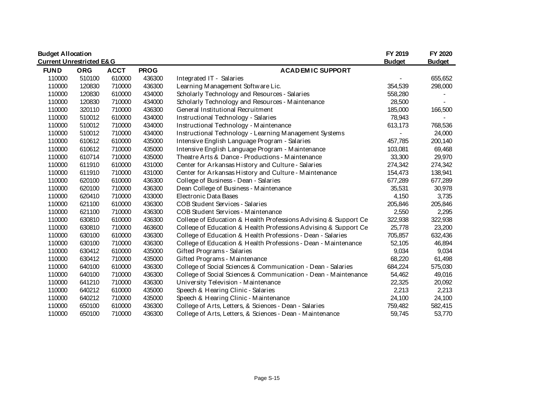|                                     | <b>Budget Allocation</b> |             |             |                                                                 |               | FY 2020       |
|-------------------------------------|--------------------------|-------------|-------------|-----------------------------------------------------------------|---------------|---------------|
| <b>Current Unrestricted E&amp;G</b> |                          |             |             |                                                                 | <b>Budget</b> | <b>Budget</b> |
| <b>FUND</b>                         | <b>ORG</b>               | <b>ACCT</b> | <b>PROG</b> | <b>ACADEMIC SUPPORT</b>                                         |               |               |
| 110000                              | 510100                   | 610000      | 436300      | Integrated IT - Salaries                                        |               | 655,652       |
| 110000                              | 120830                   | 710000      | 436300      | Learning Management Software Lic.                               | 354,539       | 298,000       |
| 110000                              | 120830                   | 610000      | 434000      | Scholarly Technology and Resources - Salaries                   | 558,280       |               |
| 110000                              | 120830                   | 710000      | 434000      | Scholarly Technology and Resources - Maintenance                | 28,500        |               |
| 110000                              | 320110                   | 710000      | 436300      | General Institutional Recruitment                               | 185,000       | 166,500       |
| 110000                              | 510012                   | 610000      | 434000      | Instructional Technology - Salaries                             | 78,943        |               |
| 110000                              | 510012                   | 710000      | 434000      | Instructional Technology - Maintenance                          | 613,173       | 768,536       |
| 110000                              | 510012                   | 710000      | 434000      | Instructional Technology - Learning Management Systems          |               | 24,000        |
| 110000                              | 610612                   | 610000      | 435000      | Intensive English Language Program - Salaries                   | 457,785       | 200,140       |
| 110000                              | 610612                   | 710000      | 435000      | Intensive English Language Program - Maintenance                | 103,081       | 69,468        |
| 110000                              | 610714                   | 710000      | 435000      | Theatre Arts & Dance - Productions - Maintenance                | 33,300        | 29,970        |
| 110000                              | 611910                   | 610000      | 431000      | Center for Arkansas History and Culture - Salaries              | 274,342       | 274,342       |
| 110000                              | 611910                   | 710000      | 431000      | Center for Arkansas History and Culture - Maintenance           | 154,473       | 138,941       |
| 110000                              | 620100                   | 610000      | 436300      | College of Business - Dean - Salaries                           | 677,289       | 677,289       |
| 110000                              | 620100                   | 710000      | 436300      | Dean College of Business - Maintenance                          | 35,531        | 30,978        |
| 110000                              | 620410                   | 710000      | 433000      | Electronic Data Bases                                           | 4,150         | 3,735         |
| 110000                              | 621100                   | 610000      | 436300      | COB Student Services - Salaries                                 | 205,846       | 205,846       |
| 110000                              | 621100                   | 710000      | 436300      | COB Student Services - Maintenance                              | 2,550         | 2,295         |
| 110000                              | 630810                   | 610000      | 436300      | College of Education & Health Professions Advising & Support Ce | 322,938       | 322,938       |
| 110000                              | 630810                   | 710000      | 463600      | College of Education & Health Professions Advising & Support Ce | 25,778        | 23,200        |
| 110000                              | 630100                   | 610000      | 436300      | College of Education & Health Professions - Dean - Salaries     | 705,857       | 632,436       |
| 110000                              | 630100                   | 710000      | 436300      | College of Education & Health Professions - Dean - Maintenance  | 52,105        | 46,894        |
| 110000                              | 630412                   | 610000      | 435000      | Gifted Programs - Salaries                                      | 9,034         | 9,034         |
| 110000                              | 630412                   | 710000      | 435000      | Gifted Programs - Maintenance                                   | 68,220        | 61,498        |
| 110000                              | 640100                   | 610000      | 436300      | College of Social Sciences & Communication - Dean - Salaries    | 684,224       | 575,030       |
| 110000                              | 640100                   | 710000      | 436300      | College of Social Sciences & Communication - Dean - Maintenance | 54,462        | 49,016        |
| 110000                              | 641210                   | 710000      | 436300      | University Television - Maintenance                             | 22,325        | 20,092        |
| 110000                              | 640212                   | 610000      | 435000      | Speech & Hearing Clinic - Salaries                              | 2,213         | 2,213         |
| 110000                              | 640212                   | 710000      | 435000      | Speech & Hearing Clinic - Maintenance                           | 24,100        | 24,100        |
| 110000                              | 650100                   | 610000      | 436300      | College of Arts, Letters, & Sciences - Dean - Salaries          | 759,482       | 582,415       |
| 110000                              | 650100                   | 710000      | 436300      | College of Arts, Letters, & Sciences - Dean - Maintenance       | 59,745        | 53,770        |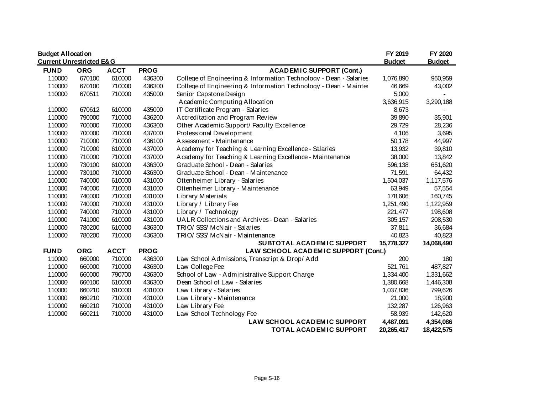| <b>Budget Allocation</b>            |            |             |             |                                                                   | FY 2019       | FY 2020       |
|-------------------------------------|------------|-------------|-------------|-------------------------------------------------------------------|---------------|---------------|
| <b>Current Unrestricted E&amp;G</b> |            |             |             |                                                                   | <b>Budget</b> | <b>Budget</b> |
| <b>FUND</b>                         | <b>ORG</b> | <b>ACCT</b> | <b>PROG</b> | <b>ACADEMIC SUPPORT (Cont.)</b>                                   |               |               |
| 110000                              | 670100     | 610000      | 436300      | College of Engineering & Information Technology - Dean - Salaries | 1,076,890     | 960,959       |
| 110000                              | 670100     | 710000      | 436300      | College of Engineering & Information Technology - Dean - Mainter  | 46,669        | 43,002        |
| 110000                              | 670511     | 710000      | 435000      | Senior Capstone Design                                            | 5,000         |               |
|                                     |            |             |             | Academic Computing Allocation                                     | 3,636,915     | 3,290,188     |
| 110000                              | 670612     | 610000      | 435000      | IT Certificate Program - Salaries                                 | 8,673         |               |
| 110000                              | 790000     | 710000      | 436200      | Accreditation and Program Review                                  | 39,890        | 35,901        |
| 110000                              | 700000     | 710000      | 436300      | Other Academic Support/ Faculty Excellence                        | 29,729        | 28,236        |
| 110000                              | 700000     | 710000      | 437000      | Professional Development                                          | 4,106         | 3,695         |
| 110000                              | 710000     | 710000      | 436100      | Assessment - Maintenance                                          | 50,178        | 44,997        |
| 110000                              | 710000     | 610000      | 437000      | Academy for Teaching & Learning Excellence - Salaries             | 13,932        | 39,810        |
| 110000                              | 710000     | 710000      | 437000      | Academy for Teaching & Learning Excellence - Maintenance          | 38,000        | 13,842        |
| 110000                              | 730100     | 610000      | 436300      | Graduate School - Dean - Salaries                                 | 596,138       | 651,620       |
| 110000                              | 730100     | 710000      | 436300      | Graduate School - Dean - Maintenance                              | 71,591        | 64,432        |
| 110000                              | 740000     | 610000      | 431000      | Ottenheimer Library - Salaries                                    | 1,504,037     | 1,117,576     |
| 110000                              | 740000     | 710000      | 431000      | Ottenheimer Library - Maintenance                                 | 63,949        | 57,554        |
| 110000                              | 740000     | 710000      | 431000      | Library Materials                                                 | 178,606       | 160,745       |
| 110000                              | 740000     | 710000      | 431000      | Library / Library Fee                                             | 1,251,490     | 1,122,959     |
| 110000                              | 740000     | 710000      | 431000      | Library / Technology                                              | 221,477       | 198,608       |
| 110000                              | 741000     | 610000      | 431000      | UALR Collections and Archives - Dean - Salaries                   | 305,157       | 208,530       |
| 110000                              | 780200     | 610000      | 436300      | TRIO/SSS/McNair - Salaries                                        | 37,811        | 36,684        |
| 110000                              | 780200     | 710000      | 436300      | TRIO/ SSS/ McNair - Maintenance                                   | 40,823        | 40,823        |
|                                     |            |             |             | SUBTOTAL ACADEMIC SUPPORT                                         | 15,778,327    | 14,068,490    |
| <b>FUND</b>                         | <b>ORG</b> | <b>ACCT</b> | <b>PROG</b> | LAW SCHOOL ACADEMIC SUPPORT (Cont.)                               |               |               |
| 110000                              | 660000     | 710000      | 436300      | Law School Admissions, Transcript & Drop/ Add                     | 200           | 180           |
| 110000                              | 660000     | 710000      | 436300      | Law College Fee                                                   | 521,761       | 487,827       |
| 110000                              | 660000     | 790700      | 436300      | School of Law - Administrative Support Charge                     | 1,334,400     | 1,331,662     |
| 110000                              | 660100     | 610000      | 436300      | Dean School of Law - Salaries                                     | 1,380,668     | 1,446,308     |
| 110000                              | 660210     | 610000      | 431000      | Law Library - Salaries                                            | 1,037,836     | 799,626       |
| 110000                              | 660210     | 710000      | 431000      | Law Library - Maintenance                                         | 21,000        | 18,900        |
| 110000                              | 660210     | 710000      | 431000      | Law Library Fee                                                   | 132,287       | 126,963       |
| 110000                              | 660211     | 710000      | 431000      | Law School Technology Fee                                         | 58,939        | 142,620       |
|                                     |            |             |             | LAW SCHOOL ACADEMIC SUPPORT                                       | 4,487,091     | 4,354,086     |
|                                     |            |             |             | TOTAL ACADEMIC SUPPORT                                            | 20,265,417    | 18,422,575    |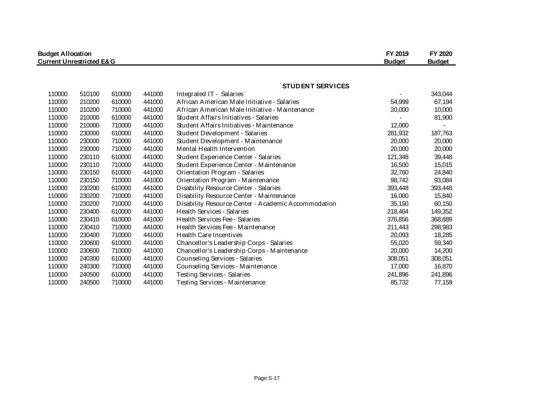| <b>Budget Allocation</b>            |               |               |        |                                                     |         | FY 2020 |
|-------------------------------------|---------------|---------------|--------|-----------------------------------------------------|---------|---------|
| <b>Current Unrestricted E&amp;G</b> | <b>Budget</b> | <b>Budget</b> |        |                                                     |         |         |
|                                     |               |               |        |                                                     |         |         |
|                                     |               |               |        | <b>STUDENT SERVICES</b>                             |         |         |
| 110000                              | 510100        | 610000        | 441000 | Integrated IT - Salaries                            |         | 343,044 |
| 110000                              | 210200        | 610000        | 441000 | African American Male Initiative - Salaries         | 54,999  | 67,194  |
| 110000                              | 210200        | 710000        | 441000 | African American Male Initiative - Maintenance      | 20,000  | 10,000  |
| 110000                              | 210000        | 610000        | 441000 | Student Affairs Initiatives - Salaries              |         | 81,900  |
| 110000                              | 210000        | 710000        | 441000 | Student Affairs Initiatives - Maintenance           | 12,000  |         |
| 110000                              | 230000        | 610000        | 441000 | Student Development - Salaries                      | 281,932 | 187,763 |
| 110000                              | 230000        | 710000        | 441000 | Student Development - Maintenance                   | 20,000  | 20,000  |
| 110000                              | 230000        | 710000        | 441000 | Mental Health Intervention                          | 20,000  | 20,000  |
| 110000                              | 230110        | 610000        | 441000 | Student Experience Center - Salaries                | 121,348 | 39,448  |
| 110000                              | 230110        | 710000        | 441000 | Student Experience Center - Maintenance             | 16,500  | 15,015  |
| 110000                              | 230150        | 610000        | 441000 | Orientation Program - Salaries                      | 32,760  | 24,840  |
| 110000                              | 230150        | 710000        | 441000 | Orientation Program - Maintenance                   | 98,742  | 93,084  |
| 110000                              | 230200        | 610000        | 441000 | Disability Resource Center - Salaries               | 393,448 | 393,448 |
| 110000                              | 230200        | 710000        | 441000 | Disability Resource Center - Maintenance            | 16,000  | 15,840  |
| 110000                              | 230200        | 710000        | 441000 | Disability Resource Center - Academic Accommodation | 35,150  | 60,150  |
| 110000                              | 230400        | 610000        | 441000 | Health Services - Salaries                          | 218,464 | 149,352 |
| 110000                              | 230410        | 610000        | 441000 | Health Services Fee - Salaries                      | 376,856 | 368,889 |
| 110000                              | 230410        | 710000        | 441000 | Health Services Fee - Maintenance                   | 211,443 | 298,983 |
| 110000                              | 230400        | 710000        | 441000 | Health Care Incentives                              | 20,093  | 18,285  |
| 110000                              | 230600        | 610000        | 441000 | Chancellor's Leadership Corps - Salaries            | 55,020  | 59,340  |
| 110000                              | 230600        | 710000        | 441000 | Chancellor's Leadership Corps - Maintenance         | 20,000  | 14,200  |
| 110000                              | 240300        | 610000        | 441000 | Counseling Services - Salaries                      | 308,051 | 308,051 |
| 110000                              | 240300        | 710000        | 441000 | Counseling Services - Maintenance                   | 17,000  | 16,870  |
| 110000                              | 240500        | 610000        | 441000 | Testing Services - Salaries                         | 241,896 | 241,896 |
| 110000                              | 240500        | 710000        | 441000 | Testing Services - Maintenance                      | 85,732  | 77,159  |

Page S-17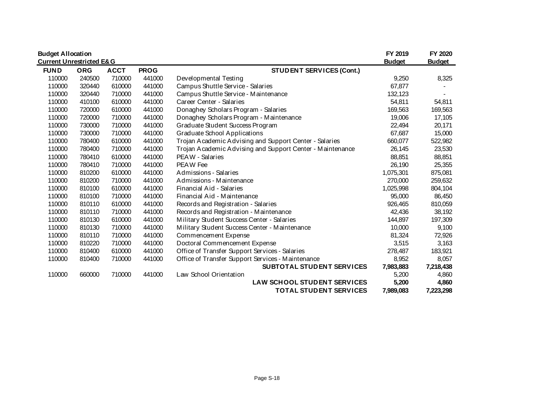| <b>Budget Allocation</b>            |            |             |             |                                                           | FY 2019       | FY 2020       |
|-------------------------------------|------------|-------------|-------------|-----------------------------------------------------------|---------------|---------------|
| <b>Current Unrestricted E&amp;G</b> |            |             |             |                                                           | <b>Budget</b> | <b>Budget</b> |
| <b>FUND</b>                         | <b>ORG</b> | <b>ACCT</b> | <b>PROG</b> | <b>STUDENT SERVICES (Cont.)</b>                           |               |               |
| 110000                              | 240500     | 710000      | 441000      | Developmental Testing                                     | 9,250         | 8,325         |
| 110000                              | 320440     | 610000      | 441000      | Campus Shuttle Service - Salaries                         | 67,877        |               |
| 110000                              | 320440     | 710000      | 441000      | Campus Shuttle Service - Maintenance                      | 132,123       |               |
| 110000                              | 410100     | 610000      | 441000      | Career Center - Salaries                                  | 54,811        | 54,811        |
| 110000                              | 720000     | 610000      | 441000      | Donaghey Scholars Program - Salaries                      | 169,563       | 169,563       |
| 110000                              | 720000     | 710000      | 441000      | Donaghey Scholars Program - Maintenance                   | 19,006        | 17,105        |
| 110000                              | 730000     | 710000      | 441000      | Graduate Student Success Program                          | 22,494        | 20,171        |
| 110000                              | 730000     | 710000      | 441000      | Graduate School Applications                              | 67,687        | 15,000        |
| 110000                              | 780400     | 610000      | 441000      | Trojan Academic Advising and Support Center - Salaries    | 660,077       | 522,982       |
| 110000                              | 780400     | 710000      | 441000      | Trojan Academic Advising and Support Center - Maintenance | 26,145        | 23,530        |
| 110000                              | 780410     | 610000      | 441000      | PEAW - Salaries                                           | 88,851        | 88,851        |
| 110000                              | 780410     | 710000      | 441000      | PEAW Fee                                                  | 26,190        | 25,355        |
| 110000                              | 810200     | 610000      | 441000      | Admissions - Salaries                                     | 1,075,301     | 875,081       |
| 110000                              | 810200     | 710000      | 441000      | Admissions - Maintenance                                  | 270,000       | 259,632       |
| 110000                              | 810100     | 610000      | 441000      | Financial Aid - Salaries                                  | 1,025,998     | 804,104       |
| 110000                              | 810100     | 710000      | 441000      | Financial Aid - Maintenance                               | 95,000        | 86,450        |
| 110000                              | 810110     | 610000      | 441000      | Records and Registration - Salaries                       | 926,465       | 810,059       |
| 110000                              | 810110     | 710000      | 441000      | Records and Registration - Maintenance                    | 42,436        | 38,192        |
| 110000                              | 810130     | 610000      | 441000      | Military Student Success Center - Salaries                | 144,897       | 197,309       |
| 110000                              | 810130     | 710000      | 441000      | Military Student Success Center - Maintenance             | 10,000        | 9,100         |
| 110000                              | 810110     | 710000      | 441000      | Commencement Expense                                      | 81,324        | 72,926        |
| 110000                              | 810220     | 710000      | 441000      | Doctoral Commencement Expense                             | 3,515         | 3,163         |
| 110000                              | 810400     | 610000      | 441000      | Office of Transfer Support Services - Salaries            | 278,487       | 183,921       |
| 110000                              | 810400     | 710000      | 441000      | Office of Transfer Support Services - Maintenance         | 8,952         | 8,057         |
|                                     |            |             |             | SUBTOTAL STUDENT SERVICES                                 | 7,983,883     | 7,218,438     |
| 110000                              | 660000     | 710000      | 441000      | Law School Orientation                                    | 5,200         | 4,860         |
|                                     |            |             |             | <b>LAW SCHOOL STUDENT SERVICES</b>                        | 5,200         | 4,860         |
|                                     |            |             |             | <b>TOTAL STUDENT SERVICES</b>                             | 7,989,083     | 7,223,298     |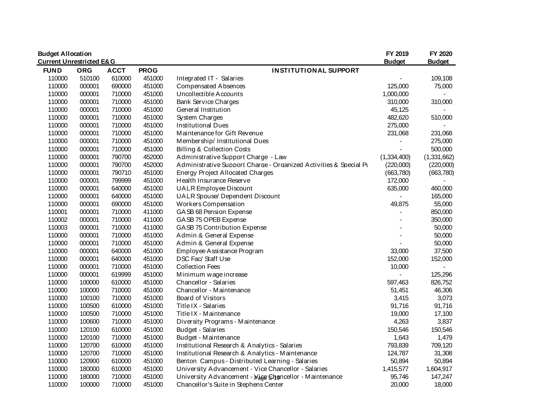| <b>Budget Allocation</b> | <b>Current Unrestricted E&amp;G</b> |             |             |                                                                   | FY 2019<br><b>Budget</b> | FY 2020<br><b>Budget</b> |
|--------------------------|-------------------------------------|-------------|-------------|-------------------------------------------------------------------|--------------------------|--------------------------|
| <b>FUND</b>              | <b>ORG</b>                          | <b>ACCT</b> | <b>PROG</b> | <b>INSTITUTIONAL SUPPORT</b>                                      |                          |                          |
| 110000                   | 510100                              | 610000      | 451000      | Integrated IT - Salaries                                          |                          | 109,108                  |
| 110000                   | 000001                              | 690000      | 451000      | <b>Compensated Absences</b>                                       | 125,000                  | 75,000                   |
| 110000                   | 000001                              | 710000      | 451000      | Uncollectible Accounts                                            | 1,000,000                |                          |
| 110000                   | 000001                              | 710000      | 451000      | Bank Service Charges                                              | 310,000                  | 310,000                  |
| 110000                   | 000001                              | 710000      | 451000      | General Institution                                               | 45,125                   |                          |
| 110000                   | 000001                              | 710000      | 451000      | System Charges                                                    | 482,620                  | 510,000                  |
| 110000                   | 000001                              | 710000      | 451000      | <b>Institutional Dues</b>                                         | 275,000                  | $\blacksquare$           |
| 110000                   | 000001                              | 710000      | 451000      | Maintenance for Gift Revenue                                      | 231,068                  | 231,068                  |
| 110000                   | 000001                              | 710000      | 451000      | Membership/ Institutional Dues                                    |                          | 275,000                  |
| 110000                   | 000001                              | 710000      | 451000      | <b>Billing &amp; Collection Costs</b>                             |                          | 500,000                  |
| 110000                   | 000001                              | 790700      | 452000      | Administrative Support Charge - Law                               | (1,334,400)              | (1,331,662)              |
| 110000                   | 000001                              | 790700      | 452000      | Administrative Support Charge - Organized Activities & Special Pu | (220,000)                | (220,000)                |
| 110000                   | 000001                              | 790710      | 451000      | Energy Project Allocated Charges                                  | (663,780)                | (663,780)                |
| 110000                   | 000001                              | 799999      | 451000      | Health Insurance Reserve                                          | 172,000                  |                          |
| 110000                   | 000001                              | 640000      | 451000      | <b>UALR Employee Discount</b>                                     | 635,000                  | 460,000                  |
| 110000                   | 000001                              | 640000      | 451000      | UALR Spouse/ Dependent Discount                                   |                          | 165,000                  |
| 110000                   | 000001                              | 690000      | 451000      | Workers Compensation                                              | 49,875                   | 55,000                   |
| 110001                   | 000001                              | 710000      | 411000      | GASB 68 Pension Expense                                           |                          | 850,000                  |
| 110002                   | 000001                              | 710000      | 411000      | GASB 75 OPEB Expense                                              | $\overline{\phantom{a}}$ | 350,000                  |
| 110003                   | 000001                              | 710000      | 411000      | GASB 75 Contribution Expense                                      |                          | 50,000                   |
| 110000                   | 000001                              | 710000      | 451000      | Admin & General Expense                                           |                          | 50,000                   |
| 110000                   | 000001                              | 710000      | 451000      | Admin & General Expense                                           |                          | 50,000                   |
| 110000                   | 000001                              | 640000      | 451000      | Employee Assistance Program                                       | 33,000                   | 37,500                   |
| 110000                   | 000001                              | 640000      | 451000      | DSC Fac/ Staff Use                                                | 152,000                  | 152,000                  |
| 110000                   | 000001                              | 710000      | 451000      | <b>Collection Fees</b>                                            | 10,000                   | $\overline{\phantom{0}}$ |
| 110000                   | 000001                              | 619999      | 451000      | Minimum wage increase                                             | $\blacksquare$           | 125,296                  |
| 110000                   | 100000                              | 610000      | 451000      | Chancellor - Salaries                                             | 597,463                  | 826,752                  |
| 110000                   | 100000                              | 710000      | 451000      | Chancellor - Maintenance                                          | 51,451                   | 46,306                   |
| 110000                   | 100100                              | 710000      | 451000      | Board of Visitors                                                 | 3,415                    | 3,073                    |
| 110000                   | 100500                              | 610000      | 451000      | Title IX - Salaries                                               | 91,716                   | 91,716                   |
| 110000                   | 100500                              | 710000      | 451000      | Title IX - Maintenance                                            | 19,000                   | 17,100                   |
| 110000                   | 100600                              | 710000      | 451000      | Diversity Programs - Maintenance                                  | 4,263                    | 3,837                    |
| 110000                   | 120100                              | 610000      | 451000      | Budget - Salaries                                                 | 150,546                  | 150,546                  |
| 110000                   | 120100                              | 710000      | 451000      | Budget - Maintenance                                              | 1,643                    | 1,479                    |
| 110000                   | 120700                              | 610000      | 451000      | Institutional Research & Analytics - Salaries                     | 793,839                  | 709,120                  |
| 110000                   | 120700                              | 710000      | 451000      | Institutional Research & Analytics - Maintenance                  | 124,787                  | 31,308                   |
| 110000                   | 120900                              | 610000      | 451000      | Benton Campus - Distributed Learning - Salaries                   | 50,894                   | 50,894                   |
| 110000                   | 180000                              | 610000      | 451000      | University Advancement - Vice Chancellor - Salaries               | 1,415,577                | 1,604,917                |
| 110000                   | 180000                              | 710000      | 451000      | University Advancement - Mage Chancellor - Maintenance            | 95,746                   | 147,247                  |
| 110000                   | 100000                              | 710000      | 451000      | Chancellor's Suite in Stephens Center                             | 20,000                   | 18,000                   |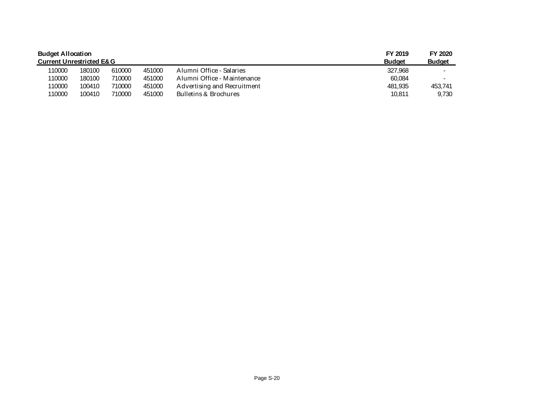| <b>Budget Allocation</b>            |        |               |               |                             | FY 2019 | FY 2020        |
|-------------------------------------|--------|---------------|---------------|-----------------------------|---------|----------------|
| <b>Current Unrestricted E&amp;G</b> |        | <b>Budget</b> | <b>Budget</b> |                             |         |                |
| 110000                              | 180100 | 610000        | 451000        | Alumni Office - Salaries    | 327.968 |                |
| 110000                              | 180100 | 710000        | 451000        | Alumni Office - Maintenance | 60.084  | $\blacksquare$ |
| 110000                              | 100410 | 710000        | 451000        | Advertising and Recruitment | 481.935 | 453.741        |
| 110000                              | 100410 | 710000        | 451000        | Bulletins & Brochures       | 10.811  | 9,730          |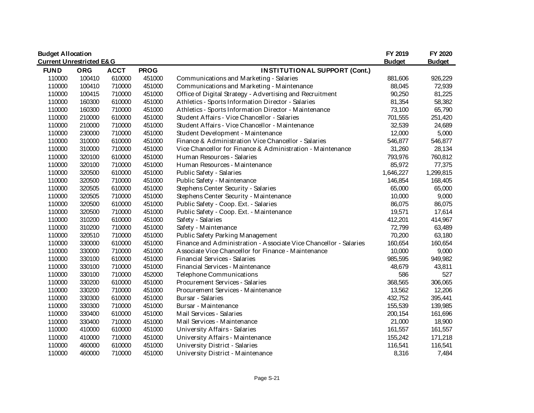| <b>Budget Allocation</b>            |            |             |             |                                                                   | FY 2019       | FY 2020       |
|-------------------------------------|------------|-------------|-------------|-------------------------------------------------------------------|---------------|---------------|
| <b>Current Unrestricted E&amp;G</b> |            |             |             |                                                                   | <b>Budget</b> | <b>Budget</b> |
| <b>FUND</b>                         | <b>ORG</b> | <b>ACCT</b> | <b>PROG</b> | <b>INSTITUTIONAL SUPPORT (Cont.)</b>                              |               |               |
| 110000                              | 100410     | 610000      | 451000      | Communications and Marketing - Salaries                           | 881,606       | 926,229       |
| 110000                              | 100410     | 710000      | 451000      | Communications and Marketing - Maintenance                        | 88,045        | 72,939        |
| 110000                              | 100415     | 710000      | 451000      | Office of Digital Strategy - Advertising and Recruitment          | 90,250        | 81,225        |
| 110000                              | 160300     | 610000      | 451000      | Athletics - Sports Information Director - Salaries                | 81,354        | 58,382        |
| 110000                              | 160300     | 710000      | 451000      | Athletics - Sports Information Director - Maintenance             | 73,100        | 65,790        |
| 110000                              | 210000     | 610000      | 451000      | Student Affairs - Vice Chancellor - Salaries                      | 701,555       | 251,420       |
| 110000                              | 210000     | 710000      | 451000      | Student Affairs - Vice Chancellor - Maintenance                   | 32,539        | 24,689        |
| 110000                              | 230000     | 710000      | 451000      | Student Development - Maintenance                                 | 12,000        | 5,000         |
| 110000                              | 310000     | 610000      | 451000      | Finance & Administration Vice Chancellor - Salaries               | 546,877       | 546,877       |
| 110000                              | 310000     | 710000      | 451000      | Vice Chancellor for Finance & Administration - Maintenance        | 31,260        | 28,134        |
| 110000                              | 320100     | 610000      | 451000      | Human Resources - Salaries                                        | 793,976       | 760,812       |
| 110000                              | 320100     | 710000      | 451000      | Human Resources - Maintenance                                     | 85,972        | 77,375        |
| 110000                              | 320500     | 610000      | 451000      | Public Safety - Salaries                                          | 1,646,227     | 1,299,815     |
| 110000                              | 320500     | 710000      | 451000      | Public Safety - Maintenance                                       | 146,854       | 168,405       |
| 110000                              | 320505     | 610000      | 451000      | Stephens Center Security - Salaries                               | 65,000        | 65,000        |
| 110000                              | 320505     | 710000      | 451000      | Stephens Center Security - Maintenance                            | 10,000        | 9,000         |
| 110000                              | 320500     | 610000      | 451000      | Public Safety - Coop. Ext. - Salaries                             | 86,075        | 86,075        |
| 110000                              | 320500     | 710000      | 451000      | Public Safety - Coop. Ext. - Maintenance                          | 19,571        | 17,614        |
| 110000                              | 310200     | 610000      | 451000      | Safety - Salaries                                                 | 412,201       | 414,967       |
| 110000                              | 310200     | 710000      | 451000      | Safety - Maintenance                                              | 72,799        | 63,489        |
| 110000                              | 320510     | 710000      | 451000      | Public Safety Parking Management                                  | 70,200        | 63,180        |
| 110000                              | 330000     | 610000      | 451000      | Finance and Administration - Associate Vice Chancellor - Salaries | 160,654       | 160,654       |
| 110000                              | 330000     | 710000      | 451000      | Associate Vice Chancellor for Finance - Maintenance               | 10,000        | 9,000         |
| 110000                              | 330100     | 610000      | 451000      | Financial Services - Salaries                                     | 985,595       | 949,982       |
| 110000                              | 330100     | 710000      | 451000      | Financial Services - Maintenance                                  | 48,679        | 43,811        |
| 110000                              | 330100     | 710000      | 452000      | Telephone Communications                                          | 586           | 527           |
| 110000                              | 330200     | 610000      | 451000      | Procurement Services - Salaries                                   | 368,565       | 306,065       |
| 110000                              | 330200     | 710000      | 451000      | Procurement Services - Maintenance                                | 13,562        | 12,206        |
| 110000                              | 330300     | 610000      | 451000      | Bursar - Salaries                                                 | 432,752       | 395,441       |
| 110000                              | 330300     | 710000      | 451000      | Bursar - Maintenance                                              | 155,539       | 139,985       |
| 110000                              | 330400     | 610000      | 451000      | Mail Services - Salaries                                          | 200,154       | 161,696       |
| 110000                              | 330400     | 710000      | 451000      | Mail Services - Maintenance                                       | 21,000        | 18,900        |
| 110000                              | 410000     | 610000      | 451000      | University Affairs - Salaries                                     | 161,557       | 161,557       |
| 110000                              | 410000     | 710000      | 451000      | University Affairs - Maintenance                                  | 155,242       | 171,218       |
| 110000                              | 460000     | 610000      | 451000      | University District - Salaries                                    | 116,541       | 116,541       |
| 110000                              | 460000     | 710000      | 451000      | University District - Maintenance                                 | 8,316         | 7,484         |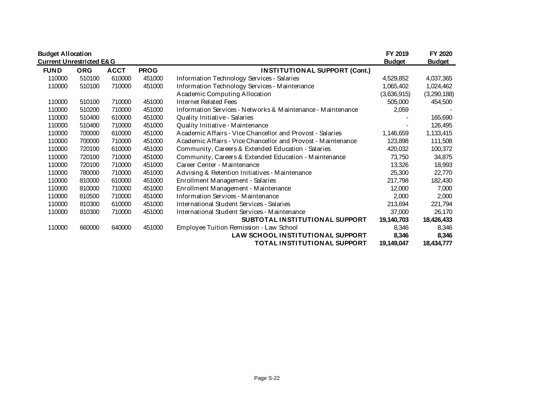| <b>Budget Allocation</b>            |            |             |             |                                                               | FY 2019       | FY 2020       |
|-------------------------------------|------------|-------------|-------------|---------------------------------------------------------------|---------------|---------------|
| <b>Current Unrestricted E&amp;G</b> |            |             |             |                                                               | <b>Budget</b> | <b>Budget</b> |
| <b>FUND</b>                         | <b>ORG</b> | <b>ACCT</b> | <b>PROG</b> | <b>INSTITUTIONAL SUPPORT (Cont.)</b>                          |               |               |
| 110000                              | 510100     | 610000      | 451000      | Information Technology Services - Salaries                    | 4,529,852     | 4,037,365     |
| 110000                              | 510100     | 710000      | 451000      | Information Technology Services - Maintenance                 | 1,065,402     | 1,024,462     |
|                                     |            |             |             | Academic Computing Allocation                                 | (3,636,915)   | (3,290,188)   |
| 110000                              | 510100     | 710000      | 451000      | Internet Related Fees                                         | 505,000       | 454,500       |
| 110000                              | 510200     | 710000      | 451000      | Information Services - Networks & Maintenance - Maintenance   | 2,059         |               |
| 110000                              | 510400     | 610000      | 451000      | Quality Initiative - Salaries                                 |               | 165,690       |
| 110000                              | 510400     | 710000      | 451000      | Quality Initiative - Maintenance                              |               | 126,495       |
| 110000                              | 700000     | 610000      | 451000      | Academic Affairs - Vice Chancellor and Provost - Salaries     | 1,146,659     | 1,133,415     |
| 110000                              | 700000     | 710000      | 451000      | A cademic Affairs - Vice Chancellor and Provost - Maintenance | 123,898       | 111,508       |
| 110000                              | 720100     | 610000      | 451000      | Community, Careers & Extended Education - Salaries            | 420,032       | 100,372       |
| 110000                              | 720100     | 710000      | 451000      | Community, Careers & Extended Education - Maintenance         | 73,750        | 34,875        |
| 110000                              | 720100     | 710000      | 451000      | Career Center - Maintenance                                   | 13,326        | 18,993        |
| 110000                              | 780000     | 710000      | 451000      | Advising & Retention Initiatives - Maintenance                | 25,300        | 22,770        |
| 110000                              | 810000     | 610000      | 451000      | Enrollment Management - Salaries                              | 217,798       | 182,430       |
| 110000                              | 810000     | 710000      | 451000      | Enrollment Management - Maintenance                           | 12,000        | 7,000         |
| 110000                              | 810500     | 710000      | 451000      | Information Services - Maintenance                            | 2,000         | 2,000         |
| 110000                              | 810300     | 610000      | 451000      | International Student Services - Salaries                     | 213,694       | 221,794       |
| 110000                              | 810300     | 710000      | 451000      | International Student Services - Maintenance                  | 37,000        | 26,170        |
|                                     |            |             |             | SUBTOTAL INSTITUTIONAL SUPPORT                                | 19,140,703    | 18,426,433    |
| 110000                              | 660000     | 640000      | 451000      | Employee Tuition Remission - Law School                       | 8,346         | 8,346         |
|                                     |            |             |             | LAW SCHOOL INSTITUTIONAL SUPPORT                              | 8,346         | 8,346         |
|                                     |            |             |             | TOTAL INSTITUTIONAL SUPPORT                                   | 19,149,047    | 18,434,777    |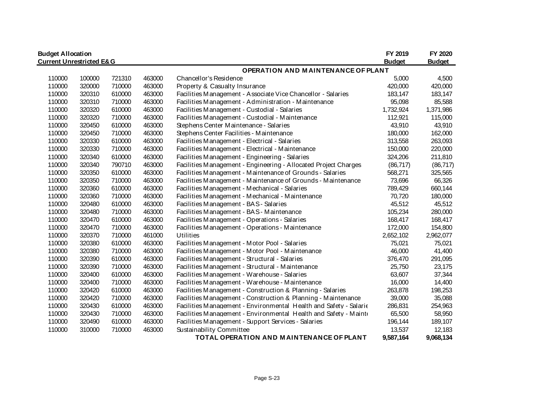| <b>Budget Allocation</b>            |        |        |        |                                                                   | FY 2019       | FY 2020       |  |  |  |  |
|-------------------------------------|--------|--------|--------|-------------------------------------------------------------------|---------------|---------------|--|--|--|--|
| <b>Current Unrestricted E&amp;G</b> |        |        |        |                                                                   | <b>Budget</b> | <b>Budget</b> |  |  |  |  |
|                                     |        |        |        | <b>OPERATION AND MAINTENANCE OF PLANT</b>                         |               |               |  |  |  |  |
| 110000                              | 100000 | 721310 | 463000 | Chancellor's Residence                                            | 5,000         | 4,500         |  |  |  |  |
| 110000                              | 320000 | 710000 | 463000 | Property & Casualty Insurance                                     | 420,000       | 420,000       |  |  |  |  |
| 110000                              | 320310 | 610000 | 463000 | Facilities Management - Associate Vice Chancellor - Salaries      | 183,147       | 183,147       |  |  |  |  |
| 110000                              | 320310 | 710000 | 463000 | Facilities Management - Administration - Maintenance              | 95,098        | 85,588        |  |  |  |  |
| 110000                              | 320320 | 610000 | 463000 | Facilities Management - Custodial - Salaries                      | 1,732,924     | 1,371,986     |  |  |  |  |
| 110000                              | 320320 | 710000 | 463000 | Facilities Management - Custodial - Maintenance                   | 112,921       | 115,000       |  |  |  |  |
| 110000                              | 320450 | 610000 | 463000 | Stephens Center Maintenance - Salaries                            | 43,910        | 43,910        |  |  |  |  |
| 110000                              | 320450 | 710000 | 463000 | Stephens Center Facilities - Maintenance                          | 180,000       | 162,000       |  |  |  |  |
| 110000                              | 320330 | 610000 | 463000 | Facilities Management - Electrical - Salaries                     | 313,558       | 263,093       |  |  |  |  |
| 110000                              | 320330 | 710000 | 463000 | Facilities Management - Electrical - Maintenance                  | 150,000       | 220,000       |  |  |  |  |
| 110000                              | 320340 | 610000 | 463000 | Facilities Management - Engineering - Salaries                    | 324,206       | 211,810       |  |  |  |  |
| 110000                              | 320340 | 790710 | 463000 | Facilities Management - Engineering - Allocated Project Charges   | (86, 717)     | (86, 717)     |  |  |  |  |
| 110000                              | 320350 | 610000 | 463000 | Facilities Management - Maintenance of Grounds - Salaries         | 568,271       | 325,565       |  |  |  |  |
| 110000                              | 320350 | 710000 | 463000 | Facilities Management - Maintenance of Grounds - Maintenance      | 73,696        | 66,326        |  |  |  |  |
| 110000                              | 320360 | 610000 | 463000 | Facilities Management - Mechanical - Salaries                     | 789,429       | 660,144       |  |  |  |  |
| 110000                              | 320360 | 710000 | 463000 | Facilities Management - Mechanical - Maintenance                  | 70,720        | 180,000       |  |  |  |  |
| 110000                              | 320480 | 610000 | 463000 | Facilities Management - BAS - Salaries                            | 45,512        | 45,512        |  |  |  |  |
| 110000                              | 320480 | 710000 | 463000 | Facilities Management - BAS - Maintenance                         | 105,234       | 280,000       |  |  |  |  |
| 110000                              | 320470 | 610000 | 463000 | Facilities Management - Operations - Salaries                     | 168,417       | 168,417       |  |  |  |  |
| 110000                              | 320470 | 710000 | 463000 | Facilities Management - Operations - Maintenance                  | 172,000       | 154,800       |  |  |  |  |
| 110000                              | 320370 | 710000 | 461000 | Utilities                                                         | 2,652,102     | 2,962,077     |  |  |  |  |
| 110000                              | 320380 | 610000 | 463000 | Facilities Management - Motor Pool - Salaries                     | 75,021        | 75,021        |  |  |  |  |
| 110000                              | 320380 | 710000 | 463000 | Facilities Management - Motor Pool - Maintenance                  | 46,000        | 41,400        |  |  |  |  |
| 110000                              | 320390 | 610000 | 463000 | Facilities Management - Structural - Salaries                     | 376,470       | 291,095       |  |  |  |  |
| 110000                              | 320390 | 710000 | 463000 | Facilities Management - Structural - Maintenance                  | 25,750        | 23,175        |  |  |  |  |
| 110000                              | 320400 | 610000 | 463000 | Facilities Management - Warehouse - Salaries                      | 63,607        | 37,344        |  |  |  |  |
| 110000                              | 320400 | 710000 | 463000 | Facilities Management - Warehouse - Maintenance                   | 16,000        | 14,400        |  |  |  |  |
| 110000                              | 320420 | 610000 | 463000 | Facilities Management - Construction & Planning - Salaries        | 263,878       | 198,253       |  |  |  |  |
| 110000                              | 320420 | 710000 | 463000 | Facilities Management - Construction & Planning - Maintenance     | 39,000        | 35,088        |  |  |  |  |
| 110000                              | 320430 | 610000 | 463000 | Facilities Management - Environmental Health and Safety - Salarie | 286,831       | 254,963       |  |  |  |  |
| 110000                              | 320430 | 710000 | 463000 | Facilities Management - Environmental Health and Safety - Mainte  | 65,500        | 58,950        |  |  |  |  |
| 110000                              | 320490 | 610000 | 463000 | Facilities Management - Support Services - Salaries               | 196,144       | 189,107       |  |  |  |  |
| 110000                              | 310000 | 710000 | 463000 | Sustainability Committee                                          | 13,537        | 12,183        |  |  |  |  |
|                                     |        |        |        | TOTAL OPERATION AND MAINTENANCE OF PLANT                          | 9,587,164     | 9,068,134     |  |  |  |  |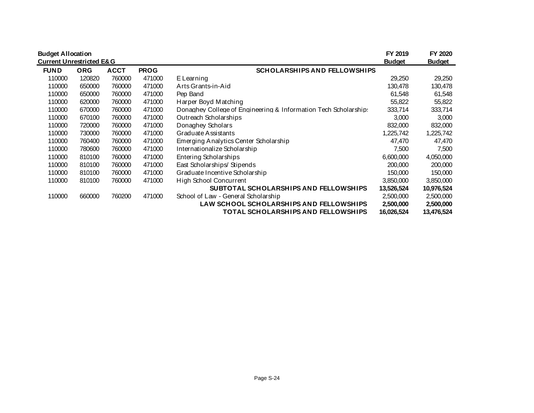| <b>Budget Allocation</b><br><b>Current Unrestricted E&amp;G</b> |            |                                                                   |        |                                                                 | FY 2019<br><b>Budget</b> | FY 2020<br><b>Budget</b> |
|-----------------------------------------------------------------|------------|-------------------------------------------------------------------|--------|-----------------------------------------------------------------|--------------------------|--------------------------|
| <b>FUND</b>                                                     | <b>ORG</b> | <b>SCHOLARSHIPS AND FELLOWSHIPS</b><br><b>ACCT</b><br><b>PROG</b> |        |                                                                 |                          |                          |
| 110000                                                          | 120820     | 760000                                                            | 471000 | E Learning                                                      | 29,250                   | 29,250                   |
| 110000                                                          | 650000     | 760000                                                            | 471000 | Arts Grants-in-Aid                                              | 130,478                  | 130,478                  |
| 110000                                                          | 650000     | 760000                                                            | 471000 | Pep Band                                                        | 61,548                   | 61,548                   |
| 110000                                                          | 620000     | 760000                                                            | 471000 | Harper Boyd Matching                                            | 55,822                   | 55,822                   |
| 110000                                                          | 670000     | 760000                                                            | 471000 | Donaghey College of Engineering & Information Tech Scholarships | 333,714                  | 333,714                  |
| 110000                                                          | 670100     | 760000                                                            | 471000 | Outreach Scholarships                                           | 3,000                    | 3,000                    |
| 110000                                                          | 720000     | 760000                                                            | 471000 | Donaghey Scholars                                               | 832,000                  | 832,000                  |
| 110000                                                          | 730000     | 760000                                                            | 471000 | Graduate Assistants                                             | 1,225,742                | 1,225,742                |
| 110000                                                          | 760400     | 760000                                                            | 471000 | Emerging Analytics Center Scholarship                           | 47,470                   | 47,470                   |
| 110000                                                          | 780600     | 760000                                                            | 471000 | Internationalize Scholarship                                    | 7,500                    | 7,500                    |
| 110000                                                          | 810100     | 760000                                                            | 471000 | Entering Scholarships                                           | 6,600,000                | 4,050,000                |
| 110000                                                          | 810100     | 760000                                                            | 471000 | East Scholarships/Stipends                                      | 200,000                  | 200,000                  |
| 110000                                                          | 810100     | 760000                                                            | 471000 | Graduate Incentive Scholarship                                  | 150,000                  | 150,000                  |
| 110000                                                          | 810100     | 760000                                                            | 471000 | High School Concurrent                                          | 3,850,000                | 3,850,000                |
|                                                                 |            |                                                                   |        | SUBTOTAL SCHOLARSHIPS AND FELLOWSHIPS                           | 13,526,524               | 10,976,524               |
| 110000                                                          | 660000     | 760200                                                            | 471000 | School of Law - General Scholarship                             | 2,500,000                | 2,500,000                |
|                                                                 |            |                                                                   |        | LAW SCHOOL SCHOLARSHIPS AND FELLOWSHIPS                         | 2,500,000                | 2,500,000                |
|                                                                 |            |                                                                   |        | TOTAL SCHOLARSHIPS AND FELLOWSHIPS                              | 16,026,524               | 13,476,524               |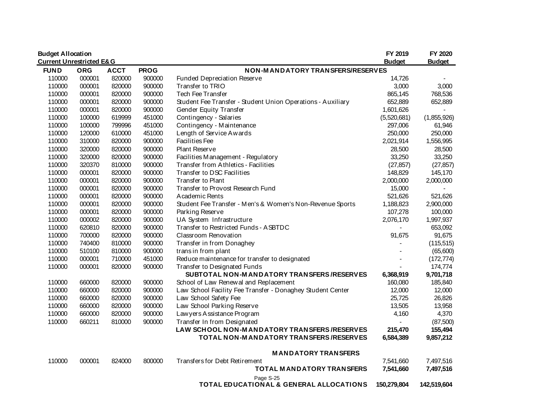| <b>Budget Allocation</b><br><b>Current Unrestricted E&amp;G</b> |            |             |             |                                                             | FY 2019<br><b>Budget</b> | FY 2020<br><b>Budget</b> |
|-----------------------------------------------------------------|------------|-------------|-------------|-------------------------------------------------------------|--------------------------|--------------------------|
| <b>FUND</b>                                                     | <b>ORG</b> | <b>ACCT</b> | <b>PROG</b> | NON-MANDATORY TRANSFERS/RESERVES                            |                          |                          |
| 110000                                                          | 000001     | 820000      | 900000      | Funded Depreciation Reserve                                 | 14,726                   |                          |
| 110000                                                          | 000001     | 820000      | 900000      | Transfer to TRIO                                            | 3,000                    | 3,000                    |
| 110000                                                          | 000001     | 820000      | 900000      | Tech Fee Transfer                                           | 865,145                  | 768,536                  |
| 110000                                                          | 000001     | 820000      | 900000      | Student Fee Transfer - Student Union Operations - Auxiliary | 652,889                  | 652,889                  |
| 110000                                                          | 000001     | 820000      | 900000      | Gender Equity Transfer                                      | 1,601,626                |                          |
| 110000                                                          | 100000     | 619999      | 451000      | Contingency - Salaries                                      | (5,520,681)              | (1,855,926)              |
| 110000                                                          | 100000     | 799996      | 451000      | Contingency - Maintenance                                   | 297,006                  | 61,946                   |
| 110000                                                          | 120000     | 610000      | 451000      | Length of Service Awards                                    | 250,000                  | 250,000                  |
| 110000                                                          | 310000     | 820000      | 900000      | <b>Facilities Fee</b>                                       | 2,021,914                | 1,556,995                |
| 110000                                                          | 320000     | 820000      | 900000      | Plant Reserve                                               | 28,500                   | 28,500                   |
| 110000                                                          | 320000     | 820000      | 900000      | Facilities Management - Regulatory                          | 33,250                   | 33,250                   |
| 110000                                                          | 320370     | 810000      | 900000      | Transfer from Athletics - Facilities                        | (27, 857)                | (27, 857)                |
| 110000                                                          | 000001     | 820000      | 900000      | Transfer to DSC Facilities                                  | 148,829                  | 145,170                  |
| 110000                                                          | 000001     | 820000      | 900000      | Transfer to Plant                                           | 2,000,000                | 2,000,000                |
| 110000                                                          | 000001     | 820000      | 900000      | Transfer to Provost Research Fund                           | 15,000                   |                          |
| 110000                                                          | 000001     | 820000      | 900000      | A cademic Rents                                             | 521,626                  | 521,626                  |
| 110000                                                          | 000001     | 820000      | 900000      | Student Fee Transfer - Men's & Women's Non-Revenue Sports   | 1,188,823                | 2,900,000                |
| 110000                                                          | 000001     | 820000      | 900000      | Parking Reserve                                             | 107,278                  | 100,000                  |
| 110000                                                          | 000002     | 820000      | 900000      | UA System Infrastructure                                    | 2,076,170                | 1,997,937                |
| 110000                                                          | 620810     | 820000      | 900000      | Transfer to Restricted Funds - ASBTDC                       |                          | 653,092                  |
| 110000                                                          | 700000     | 820000      | 900000      | Classroom Renovation                                        | 91,675                   | 91,675                   |
| 110000                                                          | 740400     | 810000      | 900000      | Transfer in from Donaghey                                   |                          | (115, 515)               |
| 110000                                                          | 510100     | 810000      | 900000      | trans in from plant                                         |                          | (65,600)                 |
| 110000                                                          | 000001     | 710000      | 451000      | Reduce maintenance for transfer to designated               |                          | (172, 774)               |
| 110000                                                          | 000001     | 820000      | 900000      | Transfer to Designated Funds                                |                          | 174,774                  |
|                                                                 |            |             |             | SUBTOTAL NON-MANDATORY TRANSFERS/RESERVES                   | 6,368,919                | 9,701,718                |
| 110000                                                          | 660000     | 820000      | 900000      | School of Law Renewal and Replacement                       | 160,080                  | 185,840                  |
| 110000                                                          | 660000     | 820000      | 900000      | Law School Facility Fee Transfer - Donaghey Student Center  | 12,000                   | 12,000                   |
| 110000                                                          | 660000     | 820000      | 900000      | Law School Safety Fee                                       | 25,725                   | 26,826                   |
| 110000                                                          | 660000     | 820000      | 900000      | Law School Parking Reserve                                  | 13,505                   | 13,958                   |
| 110000                                                          | 660000     | 820000      | 900000      | Law yers A ssistance Program                                | 4,160                    | 4,370                    |
| 110000                                                          | 660211     | 810000      | 900000      | Transfer In from Designated                                 |                          | (87,500)                 |
|                                                                 |            |             |             | LAW SCHOOL NON-MANDATORY TRANSFERS /RESERVES                | 215,470                  | 155,494                  |
|                                                                 |            |             |             | TOTAL NON-MANDATORY TRANSFERS/RESERVES                      | 6,584,389                | 9,857,212                |
|                                                                 |            |             |             | <b>MANDATORY TRANSFERS</b>                                  |                          |                          |
| 110000                                                          | 000001     | 824000      | 800000      | Transfers for Debt Retirement                               | 7,541,660                | 7,497,516                |
|                                                                 |            |             |             | <b>TOTAL MANDATORY TRANSFERS</b>                            | 7,541,660                | 7,497,516                |
|                                                                 |            |             |             | Page S-25<br>TOTAL EDUCATIONAL & GENERAL ALLOCATIONS        | 150,279,804              | 142,519,604              |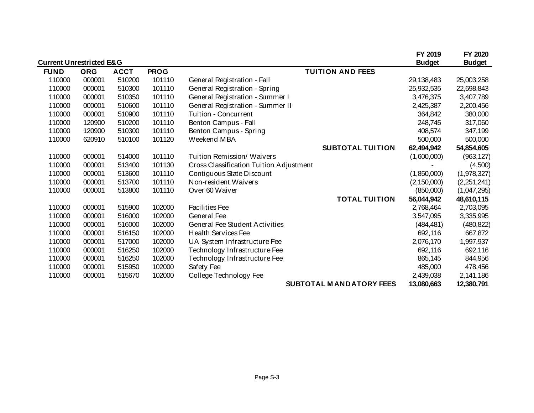|                                     |            |             |             |                                         | FY 2019       | FY 2020       |
|-------------------------------------|------------|-------------|-------------|-----------------------------------------|---------------|---------------|
| <b>Current Unrestricted E&amp;G</b> |            |             |             |                                         | <b>Budget</b> | <b>Budget</b> |
| <b>FUND</b>                         | <b>ORG</b> | <b>ACCT</b> | <b>PROG</b> | <b>TUITION AND FEES</b>                 |               |               |
| 110000                              | 000001     | 510200      | 101110      | General Registration - Fall             | 29,138,483    | 25,003,258    |
| 110000                              | 000001     | 510300      | 101110      | General Registration - Spring           | 25,932,535    | 22,698,843    |
| 110000                              | 000001     | 510350      | 101110      | General Registration - Summer I         | 3,476,375     | 3,407,789     |
| 110000                              | 000001     | 510600      | 101110      | General Registration - Summer II        | 2,425,387     | 2,200,456     |
| 110000                              | 000001     | 510900      | 101110      | Tuition - Concurrent                    | 364,842       | 380,000       |
| 110000                              | 120900     | 510200      | 101110      | Benton Campus - Fall                    | 248,745       | 317,060       |
| 110000                              | 120900     | 510300      | 101110      | Benton Campus - Spring                  | 408,574       | 347,199       |
| 110000                              | 620910     | 510100      | 101120      | Weekend MBA                             | 500,000       | 500,000       |
|                                     |            |             |             | <b>SUBTOTAL TUITION</b>                 | 62,494,942    | 54,854,605    |
| 110000                              | 000001     | 514000      | 101110      | Tuition Remission/ Waivers              | (1,600,000)   | (963, 127)    |
| 110000                              | 000001     | 513400      | 101130      | Cross Classification Tuition Adjustment |               | (4,500)       |
| 110000                              | 000001     | 513600      | 101110      | Contiguous State Discount               | (1,850,000)   | (1,978,327)   |
| 110000                              | 000001     | 513700      | 101110      | Non-resident Waivers                    | (2, 150, 000) | (2,251,241)   |
| 110000                              | 000001     | 513800      | 101110      | Over 60 Waiver                          | (850,000)     | (1,047,295)   |
|                                     |            |             |             | <b>TOTAL TUITION</b>                    | 56,044,942    | 48,610,115    |
| 110000                              | 000001     | 515900      | 102000      | <b>Facilities Fee</b>                   | 2,768,464     | 2,703,095     |
| 110000                              | 000001     | 516000      | 102000      | General Fee                             | 3,547,095     | 3,335,995     |
| 110000                              | 000001     | 516000      | 102000      | <b>General Fee Student Activities</b>   | (484, 481)    | (480, 822)    |
| 110000                              | 000001     | 516150      | 102000      | <b>Health Services Fee</b>              | 692,116       | 667,872       |
| 110000                              | 000001     | 517000      | 102000      | UA System Infrastructure Fee            | 2,076,170     | 1,997,937     |
| 110000                              | 000001     | 516250      | 102000      | Technology Infrastructure Fee           | 692,116       | 692,116       |
| 110000                              | 000001     | 516250      | 102000      | Technology Infrastructure Fee           | 865,145       | 844,956       |
| 110000                              | 000001     | 515950      | 102000      | Safety Fee                              | 485,000       | 478,456       |
| 110000                              | 000001     | 515670      | 102000      | College Technology Fee                  | 2,439,038     | 2,141,186     |
|                                     |            |             |             | <b>SUBTOTAL MANDATORY FEES</b>          | 13,080,663    | 12,380,791    |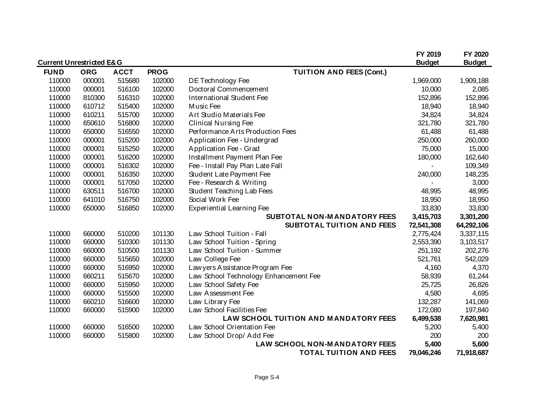| <b>Current Unrestricted E&amp;G</b> |            |             |             |                                       | FY 2019<br><b>Budget</b> | FY 2020<br><b>Budget</b> |
|-------------------------------------|------------|-------------|-------------|---------------------------------------|--------------------------|--------------------------|
| <b>FUND</b>                         | <b>ORG</b> | <b>ACCT</b> | <b>PROG</b> | <b>TUITION AND FEES (Cont.)</b>       |                          |                          |
| 110000                              | 000001     | 515680      | 102000      | DE Technology Fee                     | 1,969,000                | 1,909,188                |
| 110000                              | 000001     | 516100      | 102000      | Doctoral Commencement                 | 10,000                   | 2,085                    |
| 110000                              | 810300     | 516310      | 102000      | International Student Fee             | 152,896                  | 152,896                  |
| 110000                              | 610712     | 515400      | 102000      | Music Fee                             | 18,940                   | 18,940                   |
| 110000                              | 610211     | 515700      | 102000      | Art Studio Materials Fee              | 34,824                   | 34,824                   |
| 110000                              | 650610     | 516800      | 102000      | <b>Clinical Nursing Fee</b>           | 321,780                  | 321,780                  |
| 110000                              | 650000     | 516550      | 102000      | Performance Arts Production Fees      | 61,488                   | 61,488                   |
| 110000                              | 000001     | 515200      | 102000      | Application Fee - Undergrad           | 250,000                  | 260,000                  |
| 110000                              | 000001     | 515250      | 102000      | Application Fee - Grad                | 75,000                   | 15,000                   |
| 110000                              | 000001     | 516200      | 102000      | Installment Payment Plan Fee          | 180,000                  | 162,640                  |
| 110000                              | 000001     | 516302      | 102000      | Fee - Install Pay Plan Late Fall      |                          | 109,349                  |
| 110000                              | 000001     | 516350      | 102000      | Student Late Payment Fee              | 240,000                  | 148,235                  |
| 110000                              | 000001     | 517050      | 102000      | Fee - Research & Writing              |                          | 3,000                    |
| 110000                              | 630511     | 516700      | 102000      | Student Teaching Lab Fees             | 48,995                   | 48,995                   |
| 110000                              | 641010     | 516750      | 102000      | Social Work Fee                       | 18,950                   | 18,950                   |
| 110000                              | 650000     | 516850      | 102000      | <b>Experiential Learning Fee</b>      | 33,830                   | 33,830                   |
|                                     |            |             |             | SUBTOTAL NON-MANDATORY FEES           | 3,415,703                | 3,301,200                |
|                                     |            |             |             | SUBTOTAL TUITION AND FEES             | 72,541,308               | 64,292,106               |
| 110000                              | 660000     | 510200      | 101130      | Law School Tuition - Fall             | 2,775,424                | 3,337,115                |
| 110000                              | 660000     | 510300      | 101130      | Law School Tuition - Spring           | 2,553,390                | 3,103,517                |
| 110000                              | 660000     | 510500      | 101130      | Law School Tuition - Summer           | 251,192                  | 202,276                  |
| 110000                              | 660000     | 515650      | 102000      | Law College Fee                       | 521,761                  | 542,029                  |
| 110000                              | 660000     | 516950      | 102000      | Law yers Assistance Program Fee       | 4,160                    | 4,370                    |
| 110000                              | 660211     | 515670      | 102000      | Law School Technology Enhancement Fee | 58,939                   | 61,244                   |
| 110000                              | 660000     | 515950      | 102000      | Law School Safety Fee                 | 25,725                   | 26,826                   |
| 110000                              | 660000     | 515500      | 102000      | Law Assessment Fee                    | 4,580                    | 4,695                    |
| 110000                              | 660210     | 516600      | 102000      | Law Library Fee                       | 132,287                  | 141,069                  |
| 110000                              | 660000     | 515900      | 102000      | Law School Facilities Fee             | 172,080                  | 197,840                  |
|                                     |            |             |             | LAW SCHOOL TUITION AND MANDATORY FEES | 6,499,538                | 7,620,981                |
| 110000                              | 660000     | 516500      | 102000      | Law School Orientation Fee            | 5,200                    | 5,400                    |
| 110000                              | 660000     | 515800      | 102000      | Law School Drop/ Add Fee              | 200                      | 200                      |
|                                     |            |             |             | LAW SCHOOL NON-MANDATORY FEES         | 5,400                    | 5,600                    |
|                                     |            |             |             | <b>TOTAL TUITION AND FEES</b>         | 79,046,246               | 71,918,687               |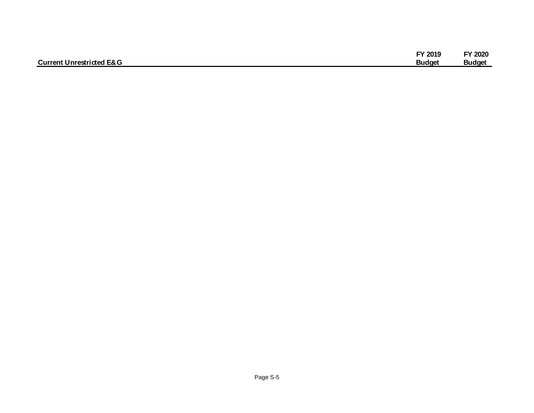|                                     | FY 2019       | Y 2020        |
|-------------------------------------|---------------|---------------|
| <b>Current Unrestricted E&amp;G</b> | <b>Budget</b> | <b>Budget</b> |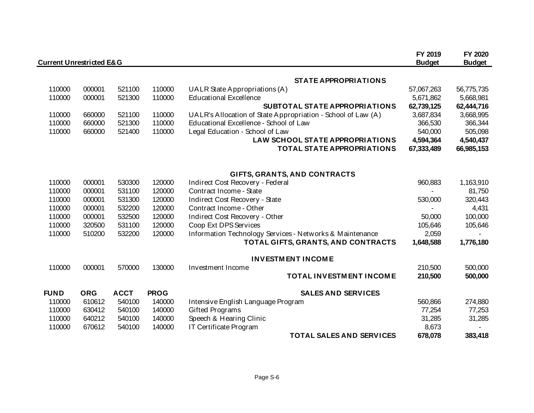| <b>Current Unrestricted E&amp;G</b> |            |             |             |                                                              | FY 2019<br><b>Budget</b> | FY 2020<br><b>Budget</b> |
|-------------------------------------|------------|-------------|-------------|--------------------------------------------------------------|--------------------------|--------------------------|
|                                     |            |             |             | <b>STATE APPROPRIATIONS</b>                                  |                          |                          |
| 110000                              | 000001     | 521100      | 110000      | UALR State Appropriations (A)                                | 57,067,263               | 56,775,735               |
| 110000                              | 000001     | 521300      | 110000      | <b>Educational Excellence</b>                                | 5,671,862                | 5,668,981                |
|                                     |            |             |             | SUBTOTAL STATE APPROPRIATIONS                                | 62,739,125               | 62,444,716               |
| 110000                              | 660000     | 521100      | 110000      | UALR's Allocation of State Appropriation - School of Law (A) | 3,687,834                | 3,668,995                |
| 110000                              | 660000     | 521300      | 110000      | Educational Excellence - School of Law                       | 366,530                  | 366,344                  |
| 110000                              | 660000     | 521400      | 110000      | Legal Education - School of Law                              | 540,000                  | 505,098                  |
|                                     |            |             |             | LAW SCHOOL STATE APPROPRIATIONS                              | 4,594,364                | 4,540,437                |
|                                     |            |             |             | <b>TOTAL STATE APPROPRIATIONS</b>                            | 67,333,489               | 66,985,153               |
|                                     |            |             |             | GIFTS, GRANTS, AND CONTRACTS                                 |                          |                          |
| 110000                              | 000001     | 530300      | 120000      | Indirect Cost Recovery - Federal                             | 960,883                  | 1,163,910                |
| 110000                              | 000001     | 531100      | 120000      | Contract Income - State                                      |                          | 81,750                   |
| 110000                              | 000001     | 531300      | 120000      | Indirect Cost Recovery - State                               | 530,000                  | 320,443                  |
| 110000                              | 000001     | 532200      | 120000      | Contract Income - Other                                      |                          | 4,431                    |
| 110000                              | 000001     | 532500      | 120000      | Indirect Cost Recovery - Other                               | 50,000                   | 100,000                  |
| 110000                              | 320500     | 531100      | 120000      | Coop Ext DPS Services                                        | 105,646                  | 105,646                  |
| 110000                              | 510200     | 532200      | 120000      | Information Technology Services - Networks & Maintenance     | 2,059                    |                          |
|                                     |            |             |             | TOTAL GIFTS, GRANTS, AND CONTRACTS                           | 1,648,588                | 1,776,180                |
|                                     |            |             |             | <b>INVESTMENT INCOME</b>                                     |                          |                          |
| 110000                              | 000001     | 570000      | 130000      | Investment Income                                            | 210,500                  | 500,000                  |
|                                     |            |             |             | TOTAL INVESTMENT INCOME                                      | 210,500                  | 500,000                  |
| <b>FUND</b>                         | <b>ORG</b> | <b>ACCT</b> | <b>PROG</b> | <b>SALES AND SERVICES</b>                                    |                          |                          |
| 110000                              | 610612     | 540100      | 140000      | Intensive English Language Program                           | 560,866                  | 274,880                  |
| 110000                              | 630412     | 540100      | 140000      | <b>Gifted Programs</b>                                       | 77,254                   | 77,253                   |
| 110000                              | 640212     | 540100      | 140000      | Speech & Hearing Clinic                                      | 31,285                   | 31,285                   |
| 110000                              | 670612     | 540100      | 140000      | IT Certificate Program                                       | 8,673                    |                          |
|                                     |            |             |             | <b>TOTAL SALES AND SERVICES</b>                              | 678,078                  | 383,418                  |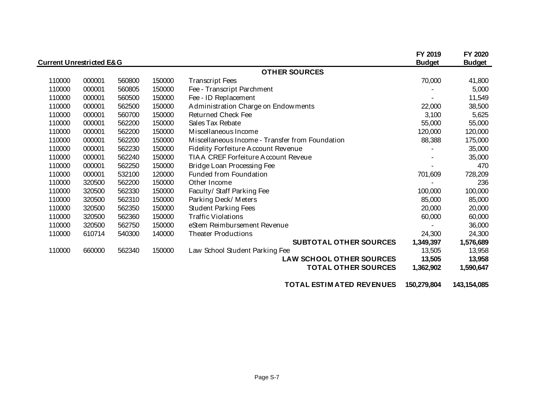|                                     |        |        |        |                                                 | FY 2019       | FY 2020       |
|-------------------------------------|--------|--------|--------|-------------------------------------------------|---------------|---------------|
| <b>Current Unrestricted E&amp;G</b> |        |        |        |                                                 | <b>Budget</b> | <b>Budget</b> |
|                                     |        |        |        | <b>OTHER SOURCES</b>                            |               |               |
| 110000                              | 000001 | 560800 | 150000 | <b>Transcript Fees</b>                          | 70,000        | 41,800        |
| 110000                              | 000001 | 560805 | 150000 | Fee - Transcript Parchment                      |               | 5,000         |
| 110000                              | 000001 | 560500 | 150000 | Fee - ID Replacement                            |               | 11,549        |
| 110000                              | 000001 | 562500 | 150000 | Administration Charge on Endowments             | 22,000        | 38,500        |
| 110000                              | 000001 | 560700 | 150000 | <b>Returned Check Fee</b>                       | 3,100         | 5,625         |
| 110000                              | 000001 | 562200 | 150000 | Sales Tax Rebate                                | 55,000        | 55,000        |
| 110000                              | 000001 | 562200 | 150000 | Miscellaneous Income                            | 120,000       | 120,000       |
| 110000                              | 000001 | 562200 | 150000 | Miscellaneous Income - Transfer from Foundation | 88,388        | 175,000       |
| 110000                              | 000001 | 562230 | 150000 | Fidelity Forfeiture Account Revenue             |               | 35,000        |
| 110000                              | 000001 | 562240 | 150000 | TIAA CREF Forfeiture Account Reveue             |               | 35,000        |
| 110000                              | 000001 | 562250 | 150000 | Bridge Loan Processing Fee                      |               | 470           |
| 110000                              | 000001 | 532100 | 120000 | Funded from Foundation                          | 701,609       | 728,209       |
| 110000                              | 320500 | 562200 | 150000 | Other Income                                    |               | 236           |
| 110000                              | 320500 | 562330 | 150000 | Faculty/ Staff Parking Fee                      | 100,000       | 100,000       |
| 110000                              | 320500 | 562310 | 150000 | Parking Deck/Meters                             | 85,000        | 85,000        |
| 110000                              | 320500 | 562350 | 150000 | <b>Student Parking Fees</b>                     | 20,000        | 20,000        |
| 110000                              | 320500 | 562360 | 150000 | <b>Traffic Violations</b>                       | 60,000        | 60,000        |
| 110000                              | 320500 | 562750 | 150000 | eStem Reimbursement Revenue                     |               | 36,000        |
| 110000                              | 610714 | 540300 | 140000 | <b>Theater Productions</b>                      | 24,300        | 24,300        |
|                                     |        |        |        | <b>SUBTOTAL OTHER SOURCES</b>                   | 1,349,397     | 1,576,689     |
| 110000                              | 660000 | 562340 | 150000 | Law School Student Parking Fee                  | 13,505        | 13,958        |
|                                     |        |        |        | <b>LAW SCHOOL OTHER SOURCES</b>                 | 13,505        | 13,958        |
|                                     |        |        |        | <b>TOTAL OTHER SOURCES</b>                      | 1,362,902     | 1,590,647     |
|                                     |        |        |        |                                                 |               |               |

**TOTAL ESTIM ATED REVENUES 150,279,804 143,154,085**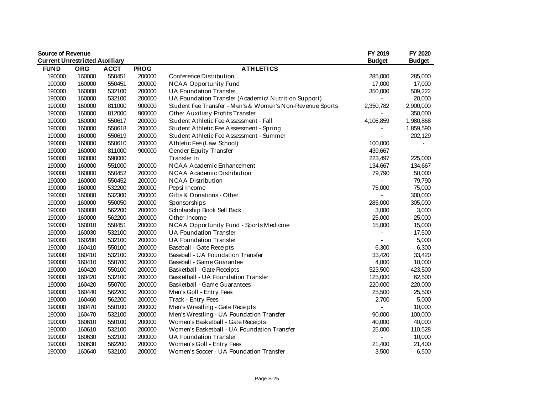| <b>Source of Revenue</b>              |            |             |             |                                                           | FY 2019       | FY 2020       |
|---------------------------------------|------------|-------------|-------------|-----------------------------------------------------------|---------------|---------------|
| <b>Current Unrestricted Auxiliary</b> |            |             |             |                                                           | <b>Budget</b> | <b>Budget</b> |
| <b>FUND</b>                           | <b>ORG</b> | <b>ACCT</b> | <b>PROG</b> | <b>ATHLETICS</b>                                          |               |               |
| 190000                                | 160000     | 550451      | 200000      | Conference Distribution                                   | 285,000       | 285,000       |
| 190000                                | 160000     | 550451      | 200000      | <b>NCAA Opportunity Fund</b>                              | 17,000        | 17,000        |
| 190000                                | 160000     | 532100      | 200000      | UA Foundation Transfer                                    | 350,000       | 509,222       |
| 190000                                | 160000     | 532100      | 200000      | UA Foundation Transfer (Academic/ Nutrition Support)      |               | 20,000        |
| 190000                                | 160000     | 811000      | 900000      | Student Fee Transfer - Men's & Women's Non-Revenue Sports | 2,350,782     | 2,900,000     |
| 190000                                | 160000     | 812000      | 900000      | Other Auxiliary Profits Transfer                          |               | 350,000       |
| 190000                                | 160000     | 550617      | 200000      | Student Athletic Fee Assessment - Fall                    | 4,106,859     | 1,980,868     |
| 190000                                | 160000     | 550618      | 200000      | Student Athletic Fee Assessment - Spring                  |               | 1,859,590     |
| 190000                                | 160000     | 550619      | 200000      | Student Athletic Fee Assessment - Summer                  |               | 202,129       |
| 190000                                | 160000     | 550610      | 200000      | Athletic Fee (Law School)                                 | 100,000       |               |
| 190000                                | 160000     | 811000      | 900000      | Gender Equity Transfer                                    | 439,667       |               |
| 190000                                | 160000     | 590000      |             | Transfer In                                               | 223,497       | 225,000       |
| 190000                                | 160000     | 551000      | 200000      | NCAA Academic Enhancement                                 | 134,667       | 134,667       |
| 190000                                | 160000     | 550452      | 200000      | NCAA Academic Distribution                                | 79,790        | 50,000        |
| 190000                                | 160000     | 550452      | 200000      | <b>NCAA Distribution</b>                                  |               | 79,790        |
| 190000                                | 160000     | 532200      | 200000      | Pepsi Income                                              | 75,000        | 75,000        |
| 190000                                | 160000     | 532300      | 200000      | Gifts & Donations - Other                                 |               | 300,000       |
| 190000                                | 160000     | 550050      | 200000      | Sponsorships                                              | 285,000       | 305,000       |
| 190000                                | 160000     | 562200      | 200000      | Scholarship Book Sell Back                                | 3,000         | 3,000         |
| 190000                                | 160000     | 562200      | 200000      | Other Income                                              | 25,000        | 25,000        |
| 190000                                | 160010     | 550451      | 200000      | NCAA Opportunity Fund - Sports Medicine                   | 15,000        | 15,000        |
| 190000                                | 160030     | 532100      | 200000      | <b>UA Foundation Transfer</b>                             |               | 17,500        |
| 190000                                | 160200     | 532100      | 200000      | UA Foundation Transfer                                    |               | 5,000         |
| 190000                                | 160410     | 550100      | 200000      | Baseball - Gate Receipts                                  | 6,300         | 6,300         |
| 190000                                | 160410     | 532100      | 200000      | Baseball - UA Foundation Transfer                         | 33,420        | 33,420        |
| 190000                                | 160410     | 550700      | 200000      | Baseball - Game Guarantee                                 | 4,000         | 10,000        |
| 190000                                | 160420     | 550100      | 200000      | Basketball - Gate Receipts                                | 523,500       | 423,500       |
| 190000                                | 160420     | 532100      | 200000      | Basketball - UA Foundation Transfer                       | 125,000       | 62,500        |
| 190000                                | 160420     | 550700      | 200000      | Basketball - Game Guarantees                              | 220,000       | 220,000       |
| 190000                                | 160440     | 562200      | 200000      | Men's Golf - Entry Fees                                   | 25,500        | 25,500        |
| 190000                                | 160460     | 562200      | 200000      | Track - Entry Fees                                        | 2,700         | 5,000         |
| 190000                                | 160470     | 550100      | 200000      | Men's Wrestling - Gate Receipts                           |               | 10,000        |
| 190000                                | 160470     | 532100      | 200000      | Men's Wrestling - UA Foundation Transfer                  | 90,000        | 100,000       |
| 190000                                | 160610     | 550100      | 200000      | Women's Basketball - Gate Receipts                        | 40,000        | 40,000        |
| 190000                                | 160610     | 532100      | 200000      | Women's Basketball - UA Foundation Transfer               | 25,000        | 110,528       |
| 190000                                | 160630     | 532100      | 200000      | <b>UA Foundation Transfer</b>                             |               | 10,000        |
| 190000                                | 160630     | 562200      | 200000      | Women's Golf - Entry Fees                                 | 21,400        | 21,400        |
| 190000                                | 160640     | 532100      | 200000      | Women's Soccer - UA Foundation Transfer                   | 3,500         | 6,500         |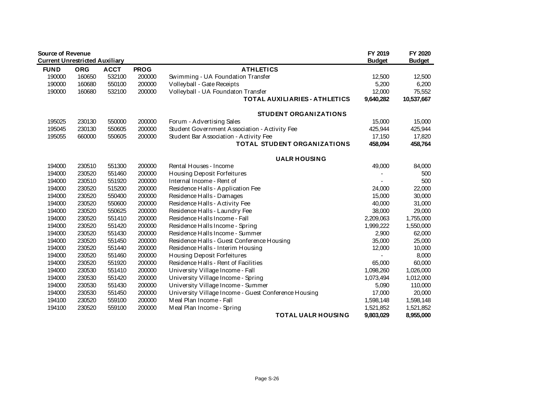| <b>Source of Revenue</b><br><b>Current Unrestricted Auxiliary</b> |            |             |             |                                                      | FY 2019       | FY 2020       |
|-------------------------------------------------------------------|------------|-------------|-------------|------------------------------------------------------|---------------|---------------|
| <b>FUND</b>                                                       | <b>ORG</b> | <b>ACCT</b> | <b>PROG</b> | <b>ATHLETICS</b>                                     | <b>Budget</b> | <b>Budget</b> |
| 190000                                                            | 160650     | 532100      | 200000      | Swimming - UA Foundation Transfer                    | 12,500        | 12,500        |
| 190000                                                            | 160680     | 550100      | 200000      | Volleyball - Gate Receipts                           | 5,200         | 6,200         |
| 190000                                                            | 160680     | 532100      | 200000      | Volleyball - UA Foundaton Transfer                   | 12,000        | 75,552        |
|                                                                   |            |             |             | <b>TOTAL AUXILIARIES - ATHLETICS</b>                 | 9,640,282     | 10,537,667    |
|                                                                   |            |             |             |                                                      |               |               |
|                                                                   |            |             |             | <b>STUDENT ORGANIZATIONS</b>                         |               |               |
| 195025                                                            | 230130     | 550000      | 200000      | Forum - Advertising Sales                            | 15,000        | 15,000        |
| 195045                                                            | 230130     | 550605      | 200000      | Student Government Association - Activity Fee        | 425,944       | 425,944       |
| 195055                                                            | 660000     | 550605      | 200000      | Student Bar Association - Activity Fee               | 17,150        | 17,820        |
|                                                                   |            |             |             | <b>TOTAL STUDENT ORGANIZATIONS</b>                   | 458,094       | 458,764       |
|                                                                   |            |             |             | <b>UALR HOUSING</b>                                  |               |               |
| 194000                                                            | 230510     | 551300      | 200000      | Rental Houses - Income                               | 49,000        | 84,000        |
| 194000                                                            | 230520     | 551460      | 200000      | Housing Deposit Forfeitures                          |               | 500           |
| 194000                                                            | 230510     | 551920      | 200000      | Internal Income - Rent of                            |               | 500           |
| 194000                                                            | 230520     | 515200      | 200000      | Residence Halls - Application Fee                    | 24,000        | 22,000        |
| 194000                                                            | 230520     | 550400      | 200000      | Residence Halls - Damages                            | 15,000        | 30,000        |
| 194000                                                            | 230520     | 550600      | 200000      | Residence Halls - Activity Fee                       | 40,000        | 31,000        |
| 194000                                                            | 230520     | 550625      | 200000      | Residence Halls - Laundry Fee                        | 38,000        | 29,000        |
| 194000                                                            | 230520     | 551410      | 200000      | Residence Halls Income - Fall                        | 2,209,063     | 1,755,000     |
| 194000                                                            | 230520     | 551420      | 200000      | Residence Halls Income - Spring                      | 1,999,222     | 1,550,000     |
| 194000                                                            | 230520     | 551430      | 200000      | Residence Halls Income - Summer                      | 2,900         | 62,000        |
| 194000                                                            | 230520     | 551450      | 200000      | Residence Halls - Guest Conference Housing           | 35,000        | 25,000        |
| 194000                                                            | 230520     | 551440      | 200000      | Residence Halls - Interim Housing                    | 12,000        | 10,000        |
| 194000                                                            | 230520     | 551460      | 200000      | Housing Deposit Forfeitures                          |               | 8,000         |
| 194000                                                            | 230520     | 551920      | 200000      | Residence Halls - Rent of Facilities                 | 65,000        | 60,000        |
| 194000                                                            | 230530     | 551410      | 200000      | University Village Income - Fall                     | 1,098,260     | 1,026,000     |
| 194000                                                            | 230530     | 551420      | 200000      | University Village Income - Spring                   | 1,073,494     | 1,012,000     |
| 194000                                                            | 230530     | 551430      | 200000      | University Village Income - Summer                   | 5,090         | 110,000       |
| 194000                                                            | 230530     | 551450      | 200000      | University Village Income - Guest Conference Housing | 17,000        | 20,000        |
| 194100                                                            | 230520     | 559100      | 200000      | Meal Plan Income - Fall                              | 1,598,148     | 1,598,148     |
| 194100                                                            | 230520     | 559100      | 200000      | Meal Plan Income - Spring                            | 1,521,852     | 1,521,852     |
|                                                                   |            |             |             | <b>TOTAL UALR HOUSING</b>                            | 9,803,029     | 8,955,000     |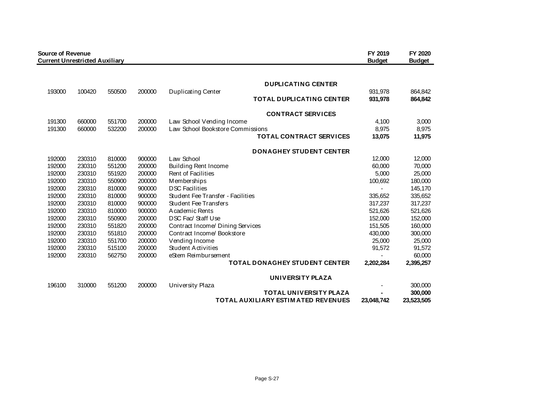| <b>Source of Revenue</b> | <b>Current Unrestricted Auxiliary</b> |        |        |                                           | FY 2019<br><b>Budget</b> | FY 2020<br><b>Budget</b> |
|--------------------------|---------------------------------------|--------|--------|-------------------------------------------|--------------------------|--------------------------|
|                          |                                       |        |        | <b>DUPLICATING CENTER</b>                 |                          |                          |
| 193000                   | 100420                                | 550500 | 200000 | <b>Duplicating Center</b>                 | 931,978                  | 864,842                  |
|                          |                                       |        |        | <b>TOTAL DUPLICATING CENTER</b>           | 931,978                  | 864,842                  |
|                          |                                       |        |        | <b>CONTRACT SERVICES</b>                  |                          |                          |
| 191300                   | 660000                                | 551700 | 200000 | Law School Vending Income                 | 4,100                    | 3,000                    |
| 191300                   | 660000                                | 532200 | 200000 | Law School Bookstore Commissions          | 8,975                    | 8,975                    |
|                          |                                       |        |        | <b>TOTAL CONTRACT SERVICES</b>            | 13,075                   | 11,975                   |
|                          |                                       |        |        | <b>DONAGHEY STUDENT CENTER</b>            |                          |                          |
| 192000                   | 230310                                | 810000 | 900000 | Law School                                | 12,000                   | 12,000                   |
| 192000                   | 230310                                | 551200 | 200000 | Building Rent Income                      | 60,000                   | 70,000                   |
| 192000                   | 230310                                | 551920 | 200000 | Rent of Facilities                        | 5,000                    | 25,000                   |
| 192000                   | 230310                                | 550900 | 200000 | Memberships                               | 100,692                  | 180,000                  |
| 192000                   | 230310                                | 810000 | 900000 | <b>DSC Facilities</b>                     |                          | 145,170                  |
| 192000                   | 230310                                | 810000 | 900000 | Student Fee Transfer - Facilities         | 335,652                  | 335,652                  |
| 192000                   | 230310                                | 810000 | 900000 | Student Fee Transfers                     | 317,237                  | 317,237                  |
| 192000                   | 230310                                | 810000 | 900000 | A cademic Rents                           | 521,626                  | 521,626                  |
| 192000                   | 230310                                | 550900 | 200000 | DSC Fac/Staff Use                         | 152,000                  | 152,000                  |
| 192000                   | 230310                                | 551820 | 200000 | Contract Income/ Dining Services          | 151,505                  | 160,000                  |
| 192000                   | 230310                                | 551810 | 200000 | Contract Income/Bookstore                 | 430,000                  | 300,000                  |
| 192000                   | 230310                                | 551700 | 200000 | Vending Income                            | 25,000                   | 25,000                   |
| 192000                   | 230310                                | 515100 | 200000 | <b>Student Activities</b>                 | 91,572                   | 91,572                   |
| 192000                   | 230310                                | 562750 | 200000 | eStem Reimbursement                       |                          | 60,000                   |
|                          |                                       |        |        | <b>TOTAL DONAGHEY STUDENT CENTER</b>      | 2,202,284                | 2,395,257                |
|                          |                                       |        |        | UNIVERSITY PLAZA                          |                          |                          |
| 196100                   | 310000                                | 551200 | 200000 | University Plaza                          |                          | 300,000                  |
|                          |                                       |        |        | <b>TOTAL UNIVERSITY PLAZA</b>             |                          | 300,000                  |
|                          |                                       |        |        | <b>TOTAL AUXILIARY ESTIMATED REVENUES</b> | 23,048,742               | 23,523,505               |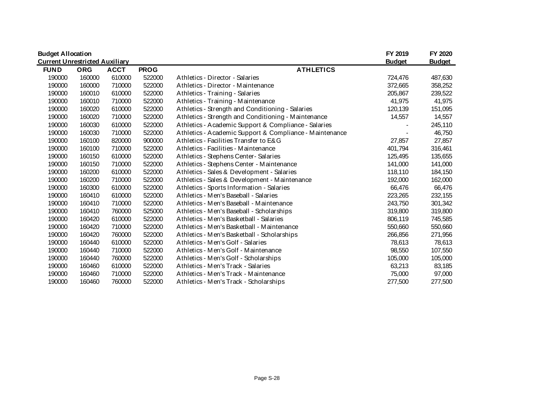| <b>Budget Allocation</b>              |            |             |             |                                                         | FY 2019       | FY 2020       |
|---------------------------------------|------------|-------------|-------------|---------------------------------------------------------|---------------|---------------|
| <b>Current Unrestricted Auxiliary</b> |            |             |             |                                                         | <b>Budget</b> | <b>Budget</b> |
| <b>FUND</b>                           | <b>ORG</b> | <b>ACCT</b> | <b>PROG</b> | <b>ATHLETICS</b>                                        |               |               |
| 190000                                | 160000     | 610000      | 522000      | Athletics - Director - Salaries                         | 724,476       | 487,630       |
| 190000                                | 160000     | 710000      | 522000      | Athletics - Director - Maintenance                      | 372,665       | 358,252       |
| 190000                                | 160010     | 610000      | 522000      | Athletics - Training - Salaries                         | 205,867       | 239,522       |
| 190000                                | 160010     | 710000      | 522000      | Athletics - Training - Maintenance                      | 41,975        | 41,975        |
| 190000                                | 160020     | 610000      | 522000      | Athletics - Strength and Conditioning - Salaries        | 120,139       | 151,095       |
| 190000                                | 160020     | 710000      | 522000      | Athletics - Strength and Conditioning - Maintenance     | 14,557        | 14,557        |
| 190000                                | 160030     | 610000      | 522000      | Athletics - Academic Support & Compliance - Salaries    |               | 245,110       |
| 190000                                | 160030     | 710000      | 522000      | Athletics - Academic Support & Compliance - Maintenance |               | 46,750        |
| 190000                                | 160100     | 820000      | 900000      | Athletics - Facilities Transfer to E&G                  | 27,857        | 27,857        |
| 190000                                | 160100     | 710000      | 522000      | Athletics - Facilities - Maintenance                    | 401,794       | 316,461       |
| 190000                                | 160150     | 610000      | 522000      | Athletics - Stephens Center - Salaries                  | 125,495       | 135,655       |
| 190000                                | 160150     | 710000      | 522000      | Athletics - Stephens Center - Maintenance               | 141,000       | 141,000       |
| 190000                                | 160200     | 610000      | 522000      | Athletics - Sales & Development - Salaries              | 118,110       | 184,150       |
| 190000                                | 160200     | 710000      | 522000      | Athletics - Sales & Development - Maintenance           | 192,000       | 162,000       |
| 190000                                | 160300     | 610000      | 522000      | Athletics - Sports Information - Salaries               | 66,476        | 66,476        |
| 190000                                | 160410     | 610000      | 522000      | Athletics - Men's Baseball - Salaries                   | 223,265       | 232,155       |
| 190000                                | 160410     | 710000      | 522000      | Athletics - Men's Baseball - Maintenance                | 243,750       | 301,342       |
| 190000                                | 160410     | 760000      | 525000      | Athletics - Men's Baseball - Scholarships               | 319,800       | 319,800       |
| 190000                                | 160420     | 610000      | 522000      | Athletics - Men's Basketball - Salaries                 | 806,119       | 745,585       |
| 190000                                | 160420     | 710000      | 522000      | Athletics - Men's Basketball - Maintenance              | 550,660       | 550,660       |
| 190000                                | 160420     | 760000      | 522000      | Athletics - Men's Basketball - Scholarships             | 266,856       | 271,956       |
| 190000                                | 160440     | 610000      | 522000      | Athletics - Men's Golf - Salaries                       | 78,613        | 78,613        |
| 190000                                | 160440     | 710000      | 522000      | Athletics - Men's Golf - Maintenance                    | 98,550        | 107,550       |
| 190000                                | 160440     | 760000      | 522000      | Athletics - Men's Golf - Scholarships                   | 105,000       | 105,000       |
| 190000                                | 160460     | 610000      | 522000      | Athletics - Men's Track - Salaries                      | 63,213        | 83,185        |
| 190000                                | 160460     | 710000      | 522000      | Athletics - Men's Track - Maintenance                   | 75,000        | 97,000        |
| 190000                                | 160460     | 760000      | 522000      | Athletics - Men's Track - Scholarships                  | 277,500       | 277,500       |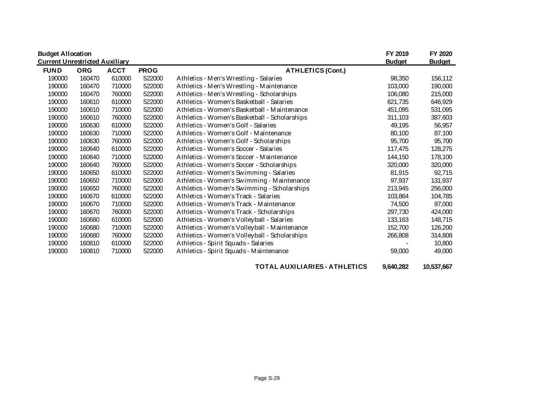| <b>Budget Allocation</b>              |            |             |             |                                               | FY 2019       | FY 2020       |
|---------------------------------------|------------|-------------|-------------|-----------------------------------------------|---------------|---------------|
| <b>Current Unrestricted Auxiliary</b> |            |             |             |                                               | <b>Budget</b> | <b>Budget</b> |
| <b>FUND</b>                           | <b>ORG</b> | <b>ACCT</b> | <b>PROG</b> | <b>ATHLETICS (Cont.)</b>                      |               |               |
| 190000                                | 160470     | 610000      | 522000      | Athletics - Men's Wrestling - Salaries        | 98,350        | 156,112       |
| 190000                                | 160470     | 710000      | 522000      | Athletics - Men's Wrestling - Maintenance     | 103,000       | 190,000       |
| 190000                                | 160470     | 760000      | 522000      | Athletics - Men's Wrestling - Scholarships    | 106,080       | 215,000       |
| 190000                                | 160610     | 610000      | 522000      | Athletics - Women's Basketball - Salaries     | 621,735       | 646,929       |
| 190000                                | 160610     | 710000      | 522000      | Athletics - Women's Basketball - Maintenance  | 451,095       | 531,095       |
| 190000                                | 160610     | 760000      | 522000      | Athletics - Women's Basketball - Scholarships | 311,103       | 387,603       |
| 190000                                | 160630     | 610000      | 522000      | Athletics - Women's Golf - Salaries           | 49,195        | 56,957        |
| 190000                                | 160630     | 710000      | 522000      | Athletics - Women's Golf - Maintenance        | 80,100        | 87,100        |
| 190000                                | 160630     | 760000      | 522000      | Athletics - Women's Golf - Scholarships       | 95,700        | 95,700        |
| 190000                                | 160640     | 610000      | 522000      | Athletics - Women's Soccer - Salaries         | 117,475       | 128,275       |
| 190000                                | 160640     | 710000      | 522000      | Athletics - Women's Soccer - Maintenance      | 144,150       | 178,100       |
| 190000                                | 160640     | 760000      | 522000      | Athletics - Women's Soccer - Scholarships     | 320,000       | 320,000       |
| 190000                                | 160650     | 610000      | 522000      | Athletics - Women's Swimming - Salaries       | 81,915        | 92,715        |
| 190000                                | 160650     | 710000      | 522000      | Athletics - Women's Swimming - Maintenance    | 97,937        | 131,937       |
| 190000                                | 160650     | 760000      | 522000      | Athletics - Women's Swimming - Scholarships   | 213,945       | 256,000       |
| 190000                                | 160670     | 610000      | 522000      | Athletics - Women's Track - Salaries          | 103,864       | 104,785       |
| 190000                                | 160670     | 710000      | 522000      | Athletics - Women's Track - Maintenance       | 74,500        | 97,000        |
| 190000                                | 160670     | 760000      | 522000      | Athletics - Women's Track - Scholarships      | 297,730       | 424,000       |
| 190000                                | 160680     | 610000      | 522000      | Athletics - Women's Volleyball - Salaries     | 133,163       | 148,715       |
| 190000                                | 160680     | 710000      | 522000      | Athletics - Women's Volleyball - Maintenance  | 152,700       | 126,200       |
| 190000                                | 160680     | 760000      | 522000      | Athletics - Women's Volleyball - Scholarships | 266,808       | 314,808       |
| 190000                                | 160810     | 610000      | 522000      | Athletics - Spirit Squads - Salaries          |               | 10,800        |
| 190000                                | 160810     | 710000      | 522000      | Athletics - Spirit Squads - Maintenance       | 59,000        | 49,000        |

**TOTAL AUXILIARIES - ATHLETICS 9,640,282 10,537,667**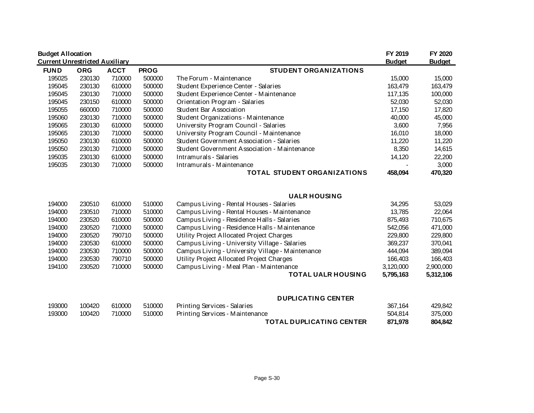| <b>Budget Allocation</b><br><b>Current Unrestricted Auxiliary</b> |            |             |             |                                              | FY 2019<br><b>Budget</b> | FY 2020<br><b>Budget</b> |
|-------------------------------------------------------------------|------------|-------------|-------------|----------------------------------------------|--------------------------|--------------------------|
| <b>FUND</b>                                                       | <b>ORG</b> | <b>ACCT</b> | <b>PROG</b> | <b>STUDENT ORGANIZATIONS</b>                 |                          |                          |
| 195025                                                            | 230130     | 710000      | 500000      | The Forum - Maintenance                      | 15,000                   | 15,000                   |
| 195045                                                            | 230130     | 610000      | 500000      | Student Experience Center - Salaries         | 163,479                  | 163,479                  |
| 195045                                                            | 230130     | 710000      | 500000      | Student Experience Center - Maintenance      | 117,135                  | 100,000                  |
| 195045                                                            | 230150     | 610000      | 500000      | Orientation Program - Salaries               | 52,030                   | 52,030                   |
| 195055                                                            | 660000     | 710000      | 500000      | Student Bar Association                      | 17,150                   | 17,820                   |
| 195060                                                            | 230130     | 710000      | 500000      | Student Organizations - Maintenance          | 40,000                   | 45,000                   |
| 195065                                                            | 230130     | 610000      | 500000      | University Program Council - Salaries        | 3,600                    | 7,956                    |
| 195065                                                            | 230130     | 710000      | 500000      | University Program Council - Maintenance     | 16,010                   | 18,000                   |
| 195050                                                            | 230130     | 610000      | 500000      | Student Government Association - Salaries    | 11,220                   | 11,220                   |
| 195050                                                            | 230130     | 710000      | 500000      | Student Government Association - Maintenance | 8,350                    | 14,615                   |
| 195035                                                            | 230130     | 610000      | 500000      | Intramurals - Salaries                       | 14,120                   | 22,200                   |
| 195035                                                            | 230130     | 710000      | 500000      | Intramurals - Maintenance                    |                          | 3,000                    |
|                                                                   |            |             |             | <b>TOTAL STUDENT ORGANIZATIONS</b>           | 458,094                  | 470,320                  |

#### **UALR HOUSING**

| 194000 | 230510 | 610000 | 510000 | Campus Living - Rental Houses - Salaries         | 34,295    | 53,029    |
|--------|--------|--------|--------|--------------------------------------------------|-----------|-----------|
| 194000 | 230510 | 710000 | 510000 | Campus Living - Rental Houses - Maintenance      | 13.785    | 22,064    |
| 194000 | 230520 | 610000 | 500000 | Campus Living - Residence Halls - Salaries       | 875.493   | 710.675   |
| 194000 | 230520 | 710000 | 500000 | Campus Living - Residence Halls - Maintenance    | 542.056   | 471,000   |
| 194000 | 230520 | 790710 | 500000 | Utility Project Allocated Project Charges        | 229,800   | 229,800   |
| 194000 | 230530 | 610000 | 500000 | Campus Living - University Village - Salaries    | 369.237   | 370.041   |
| 194000 | 230530 | 710000 | 500000 | Campus Living - University Village - Maintenance | 444.094   | 389,094   |
| 194000 | 230530 | 790710 | 500000 | Utility Project Allocated Project Charges        | 166.403   | 166,403   |
| 194100 | 230520 | 710000 | 500000 | Campus Living - Meal Plan - Maintenance          | 3,120,000 | 2,900,000 |
|        |        |        |        | <b>TOTAL UALR HOUSING</b>                        | 5,795,163 | 5,312,106 |

#### **DUPLICATING CENTER**

| 193000 | 100420 | 610000 | 510000 | Printing Services - Salaries    | 367.164 | 429.842 |
|--------|--------|--------|--------|---------------------------------|---------|---------|
| 193000 | 100420 | 710000 | 510000 | Printing Services - Maintenance | 504.814 | 375,000 |
|        |        |        |        | <b>TOTAL DUPLICATING CENTER</b> | 871.978 | 804.842 |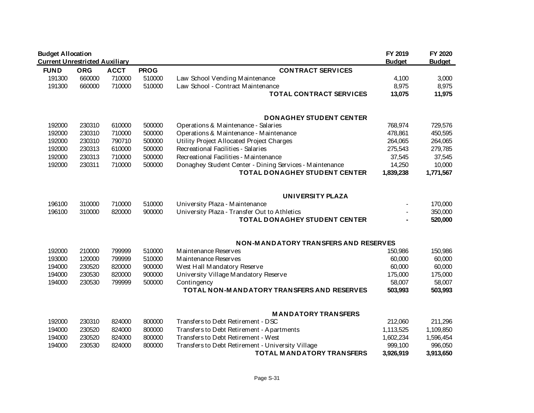| <b>Budget Allocation</b>              |            |             |             |                                                         | FY 2019       | FY 2020       |
|---------------------------------------|------------|-------------|-------------|---------------------------------------------------------|---------------|---------------|
| <b>Current Unrestricted Auxiliary</b> |            |             |             |                                                         | <b>Budget</b> | <b>Budget</b> |
| <b>FUND</b>                           | <b>ORG</b> | <b>ACCT</b> | <b>PROG</b> | <b>CONTRACT SERVICES</b>                                |               |               |
| 191300                                | 660000     | 710000      | 510000      | Law School Vending Maintenance                          | 4,100         | 3,000         |
| 191300                                | 660000     | 710000      | 510000      | Law School - Contract Maintenance                       | 8,975         | 8,975         |
|                                       |            |             |             | <b>TOTAL CONTRACT SERVICES</b>                          | 13,075        | 11,975        |
|                                       |            |             |             | <b>DONAGHEY STUDENT CENTER</b>                          |               |               |
| 192000                                | 230310     | 610000      | 500000      | Operations & Maintenance - Salaries                     | 768,974       | 729,576       |
| 192000                                | 230310     | 710000      | 500000      | Operations & Maintenance - Maintenance                  | 478,861       | 450,595       |
| 192000                                | 230310     | 790710      | 500000      | Utility Project Allocated Project Charges               | 264,065       | 264,065       |
| 192000                                | 230313     | 610000      | 500000      | Recreational Facilities - Salaries                      | 275,543       | 279,785       |
| 192000                                | 230313     | 710000      | 500000      | Recreational Facilities - Maintenance                   | 37,545        | 37,545        |
| 192000                                | 230311     | 710000      | 500000      | Donaghey Student Center - Dining Services - Maintenance | 14,250        | 10,000        |
|                                       |            |             |             | <b>TOTAL DONAGHEY STUDENT CENTER</b>                    | 1,839,238     | 1,771,567     |
|                                       |            |             |             | UNIVERSITY PLAZA                                        |               |               |
| 196100                                | 310000     | 710000      | 510000      | University Plaza - Maintenance                          |               | 170,000       |
| 196100                                | 310000     | 820000      | 900000      | University Plaza - Transfer Out to Athletics            |               | 350,000       |
|                                       |            |             |             | TOTAL DONAGHEY STUDENT CENTER                           |               | 520,000       |
|                                       |            |             |             | NON-MANDATORY TRANSFERS AND RESERVES                    |               |               |
| 192000                                | 210000     | 799999      | 510000      | Maintenance Reserves                                    | 150,986       | 150,986       |
| 193000                                | 120000     | 799999      | 510000      | Maintenance Reserves                                    | 60,000        | 60,000        |
| 194000                                | 230520     | 820000      | 900000      | West Hall Mandatory Reserve                             | 60,000        | 60,000        |
| 194000                                | 230530     | 820000      | 900000      | University Village Mandatory Reserve                    | 175,000       | 175,000       |
| 194000                                | 230530     | 799999      | 500000      | Contingency                                             | 58,007        | 58,007        |
|                                       |            |             |             | TOTAL NON-MANDATORY TRANSFERS AND RESERVES              | 503,993       | 503,993       |
|                                       |            |             |             | <b>MANDATORY TRANSFERS</b>                              |               |               |
| 192000                                | 230310     | 824000      | 800000      | Transfers to Debt Retirement - DSC                      | 212,060       | 211,296       |
| 194000                                | 230520     | 824000      | 800000      | Transfers to Debt Retirement - Apartments               | 1,113,525     | 1,109,850     |
| 194000                                | 230520     | 824000      | 800000      | Transfers to Debt Retirement - West                     | 1,602,234     | 1,596,454     |
| 194000                                | 230530     | 824000      | 800000      | Transfers to Debt Retirement - University Village       | 999,100       | 996,050       |
|                                       |            |             |             | <b>TOTAL MANDATORY TRANSFERS</b>                        | 3,926,919     | 3,913,650     |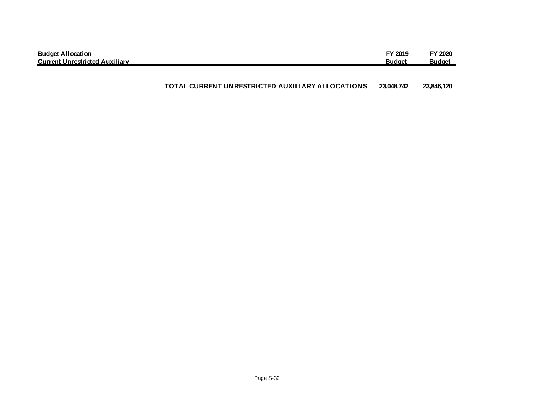| <b>Budget Allocation</b>              | FY 2019       | FY 2020       |
|---------------------------------------|---------------|---------------|
| <b>Current Unrestricted Auxiliary</b> | <b>Budget</b> | <b>Budget</b> |

#### **TOTAL CURRENT UNRESTRICTED AUXILIARY ALLOCATIONS 23,048,742 23,846,120**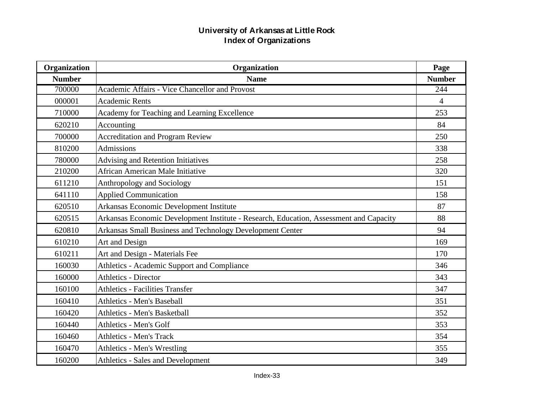| Organization  | Organization                                                                           |                |
|---------------|----------------------------------------------------------------------------------------|----------------|
| <b>Number</b> | <b>Name</b>                                                                            | <b>Number</b>  |
| 700000        | <b>Academic Affairs - Vice Chancellor and Provost</b>                                  | 244            |
| 000001        | <b>Academic Rents</b>                                                                  | $\overline{4}$ |
| 710000        | Academy for Teaching and Learning Excellence                                           | 253            |
| 620210        | Accounting                                                                             | 84             |
| 700000        | <b>Accreditation and Program Review</b>                                                | 250            |
| 810200        | <b>Admissions</b>                                                                      | 338            |
| 780000        | <b>Advising and Retention Initiatives</b>                                              | 258            |
| 210200        | African American Male Initiative                                                       | 320            |
| 611210        | Anthropology and Sociology                                                             | 151            |
| 641110        | <b>Applied Communication</b>                                                           | 158            |
| 620510        | Arkansas Economic Development Institute                                                | 87             |
| 620515        | Arkansas Economic Development Institute - Research, Education, Assessment and Capacity | 88             |
| 620810        | Arkansas Small Business and Technology Development Center                              | 94             |
| 610210        | Art and Design                                                                         | 169            |
| 610211        | Art and Design - Materials Fee                                                         | 170            |
| 160030        | Athletics - Academic Support and Compliance                                            | 346            |
| 160000        | <b>Athletics - Director</b>                                                            | 343            |
| 160100        | <b>Athletics - Facilities Transfer</b>                                                 | 347            |
| 160410        | <b>Athletics - Men's Baseball</b>                                                      | 351            |
| 160420        | <b>Athletics - Men's Basketball</b>                                                    | 352            |
| 160440        | Athletics - Men's Golf                                                                 | 353            |
| 160460        | <b>Athletics - Men's Track</b>                                                         | 354            |
| 160470        | Athletics - Men's Wrestling                                                            | 355            |
| 160200        | <b>Athletics - Sales and Development</b>                                               | 349            |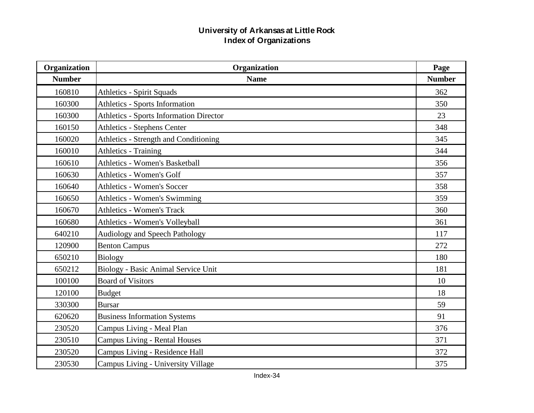| Organization  | Organization                                   | Page          |
|---------------|------------------------------------------------|---------------|
| <b>Number</b> | <b>Name</b>                                    | <b>Number</b> |
| 160810        | <b>Athletics - Spirit Squads</b>               | 362           |
| 160300        | <b>Athletics - Sports Information</b>          | 350           |
| 160300        | <b>Athletics - Sports Information Director</b> | 23            |
| 160150        | <b>Athletics - Stephens Center</b>             | 348           |
| 160020        | Athletics - Strength and Conditioning          | 345           |
| 160010        | <b>Athletics - Training</b>                    | 344           |
| 160610        | <b>Athletics - Women's Basketball</b>          | 356           |
| 160630        | <b>Athletics - Women's Golf</b>                | 357           |
| 160640        | <b>Athletics - Women's Soccer</b>              | 358           |
| 160650        | <b>Athletics - Women's Swimming</b>            | 359           |
| 160670        | <b>Athletics - Women's Track</b>               | 360           |
| 160680        | <b>Athletics - Women's Volleyball</b>          | 361           |
| 640210        | <b>Audiology and Speech Pathology</b>          | 117           |
| 120900        | <b>Benton Campus</b>                           | 272           |
| 650210        | <b>Biology</b>                                 | 180           |
| 650212        | Biology - Basic Animal Service Unit            | 181           |
| 100100        | <b>Board of Visitors</b>                       | 10            |
| 120100        | <b>Budget</b>                                  | 18            |
| 330300        | <b>Bursar</b>                                  | 59            |
| 620620        | <b>Business Information Systems</b>            | 91            |
| 230520        | Campus Living - Meal Plan                      | 376           |
| 230510        | <b>Campus Living - Rental Houses</b>           | 371           |
| 230520        | Campus Living - Residence Hall                 | 372           |
| 230530        | Campus Living - University Village             | 375           |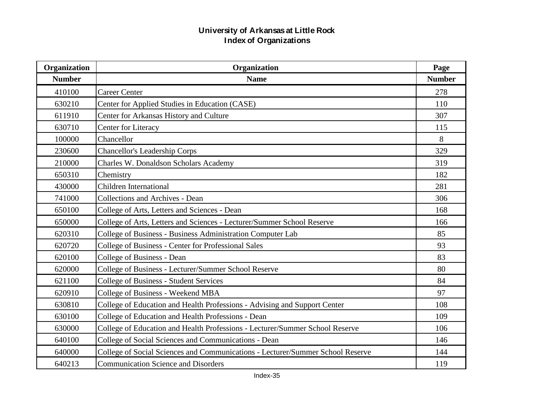| Organization  | Organization                                                                   |               |
|---------------|--------------------------------------------------------------------------------|---------------|
| <b>Number</b> | <b>Name</b>                                                                    | <b>Number</b> |
| 410100        | <b>Career Center</b>                                                           | 278           |
| 630210        | Center for Applied Studies in Education (CASE)                                 | 110           |
| 611910        | Center for Arkansas History and Culture                                        | 307           |
| 630710        | <b>Center for Literacy</b>                                                     | 115           |
| 100000        | Chancellor                                                                     | 8             |
| 230600        | <b>Chancellor's Leadership Corps</b>                                           | 329           |
| 210000        | Charles W. Donaldson Scholars Academy                                          | 319           |
| 650310        | Chemistry                                                                      | 182           |
| 430000        | <b>Children International</b>                                                  | 281           |
| 741000        | <b>Collections and Archives - Dean</b>                                         | 306           |
| 650100        | College of Arts, Letters and Sciences - Dean                                   | 168           |
| 650000        | College of Arts, Letters and Sciences - Lecturer/Summer School Reserve         | 166           |
| 620310        | College of Business - Business Administration Computer Lab                     | 85            |
| 620720        | College of Business - Center for Professional Sales                            | 93            |
| 620100        | College of Business - Dean                                                     | 83            |
| 620000        | College of Business - Lecturer/Summer School Reserve                           | 80            |
| 621100        | <b>College of Business - Student Services</b>                                  | 84            |
| 620910        | College of Business - Weekend MBA                                              | 97            |
| 630810        | College of Education and Health Professions - Advising and Support Center      | 108           |
| 630100        | College of Education and Health Professions - Dean                             | 109           |
| 630000        | College of Education and Health Professions - Lecturer/Summer School Reserve   | 106           |
| 640100        | College of Social Sciences and Communications - Dean                           | 146           |
| 640000        | College of Social Sciences and Communications - Lecturer/Summer School Reserve | 144           |
| 640213        | <b>Communication Science and Disorders</b>                                     | 119           |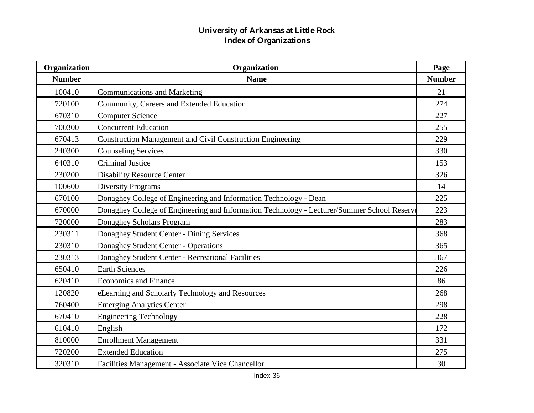| Organization  | Organization                                                                                |               |
|---------------|---------------------------------------------------------------------------------------------|---------------|
| <b>Number</b> | <b>Name</b>                                                                                 | <b>Number</b> |
| 100410        | <b>Communications and Marketing</b>                                                         | 21            |
| 720100        | Community, Careers and Extended Education                                                   | 274           |
| 670310        | <b>Computer Science</b>                                                                     | 227           |
| 700300        | <b>Concurrent Education</b>                                                                 | 255           |
| 670413        | <b>Construction Management and Civil Construction Engineering</b>                           | 229           |
| 240300        | <b>Counseling Services</b>                                                                  | 330           |
| 640310        | <b>Criminal Justice</b>                                                                     | 153           |
| 230200        | <b>Disability Resource Center</b>                                                           | 326           |
| 100600        | <b>Diversity Programs</b>                                                                   | 14            |
| 670100        | Donaghey College of Engineering and Information Technology - Dean                           | 225           |
| 670000        | Donaghey College of Engineering and Information Technology - Lecturer/Summer School Reserve | 223           |
| 720000        | Donaghey Scholars Program                                                                   | 283           |
| 230311        | Donaghey Student Center - Dining Services                                                   | 368           |
| 230310        | Donaghey Student Center - Operations                                                        | 365           |
| 230313        | Donaghey Student Center - Recreational Facilities                                           | 367           |
| 650410        | <b>Earth Sciences</b>                                                                       | 226           |
| 620410        | <b>Economics and Finance</b>                                                                | 86            |
| 120820        | eLearning and Scholarly Technology and Resources                                            | 268           |
| 760400        | <b>Emerging Analytics Center</b>                                                            | 298           |
| 670410        | <b>Engineering Technology</b>                                                               | 228           |
| 610410        | English                                                                                     | 172           |
| 810000        | <b>Enrollment Management</b>                                                                | 331           |
| 720200        | <b>Extended Education</b>                                                                   | 275           |
| 320310        | Facilities Management - Associate Vice Chancellor                                           | 30            |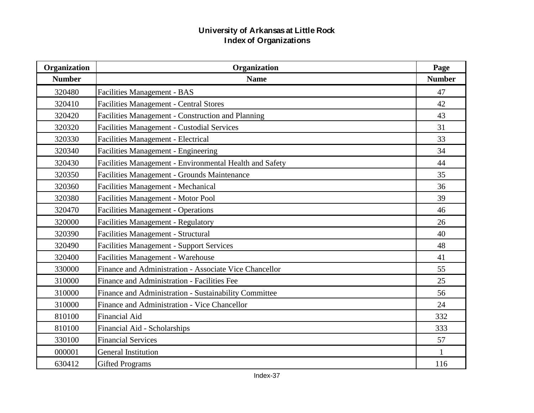| Organization  | Organization                                            |               |  |
|---------------|---------------------------------------------------------|---------------|--|
| <b>Number</b> | <b>Name</b>                                             | <b>Number</b> |  |
| 320480        | Facilities Management - BAS                             | 47            |  |
| 320410        | <b>Facilities Management - Central Stores</b>           | 42            |  |
| 320420        | Facilities Management - Construction and Planning       | 43            |  |
| 320320        | <b>Facilities Management - Custodial Services</b>       | 31            |  |
| 320330        | Facilities Management - Electrical                      | 33            |  |
| 320340        | Facilities Management - Engineering                     | 34            |  |
| 320430        | Facilities Management - Environmental Health and Safety | 44            |  |
| 320350        | Facilities Management - Grounds Maintenance             | 35            |  |
| 320360        | Facilities Management - Mechanical                      | 36            |  |
| 320380        | Facilities Management - Motor Pool                      | 39            |  |
| 320470        | <b>Facilities Management - Operations</b>               | 46            |  |
| 320000        | <b>Facilities Management - Regulatory</b>               | 26            |  |
| 320390        | Facilities Management - Structural                      | 40            |  |
| 320490        | <b>Facilities Management - Support Services</b>         | 48            |  |
| 320400        | Facilities Management - Warehouse                       | 41            |  |
| 330000        | Finance and Administration - Associate Vice Chancellor  | 55            |  |
| 310000        | Finance and Administration - Facilities Fee             | 25            |  |
| 310000        | Finance and Administration - Sustainability Committee   | 56            |  |
| 310000        | Finance and Administration - Vice Chancellor            | 24            |  |
| 810100        | <b>Financial Aid</b>                                    | 332           |  |
| 810100        | Financial Aid - Scholarships                            | 333           |  |
| 330100        | <b>Financial Services</b>                               | 57            |  |
| 000001        | <b>General Institution</b>                              | 1             |  |
| 630412        | <b>Gifted Programs</b>                                  | 116           |  |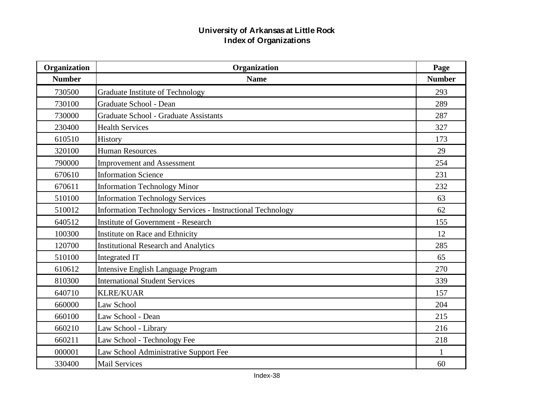| Organization  | Organization                                                      |     |
|---------------|-------------------------------------------------------------------|-----|
| <b>Number</b> | <b>Name</b>                                                       |     |
| 730500        | Graduate Institute of Technology                                  | 293 |
| 730100        | Graduate School - Dean                                            | 289 |
| 730000        | <b>Graduate School - Graduate Assistants</b>                      | 287 |
| 230400        | <b>Health Services</b>                                            | 327 |
| 610510        | History                                                           | 173 |
| 320100        | <b>Human Resources</b>                                            | 29  |
| 790000        | <b>Improvement and Assessment</b>                                 | 254 |
| 670610        | <b>Information Science</b>                                        | 231 |
| 670611        | <b>Information Technology Minor</b>                               | 232 |
| 510100        | <b>Information Technology Services</b>                            | 63  |
| 510012        | <b>Information Technology Services - Instructional Technology</b> | 62  |
| 640512        | <b>Institute of Government - Research</b>                         | 155 |
| 100300        | Institute on Race and Ethnicity                                   | 12  |
| 120700        | <b>Institutional Research and Analytics</b>                       | 285 |
| 510100        | <b>Integrated IT</b>                                              | 65  |
| 610612        | Intensive English Language Program                                | 270 |
| 810300        | <b>International Student Services</b>                             | 339 |
| 640710        | <b>KLRE/KUAR</b>                                                  | 157 |
| 660000        | Law School                                                        | 204 |
| 660100        | Law School - Dean                                                 | 215 |
| 660210        | Law School - Library                                              | 216 |
| 660211        | Law School - Technology Fee                                       | 218 |
| 000001        | Law School Administrative Support Fee                             | 1   |
| 330400        | <b>Mail Services</b>                                              | 60  |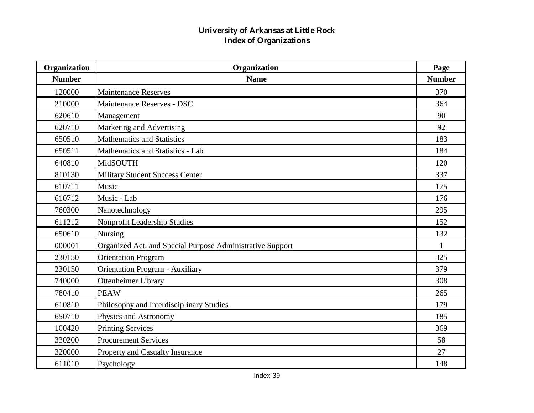| Organization  | Organization                                              |               |
|---------------|-----------------------------------------------------------|---------------|
| <b>Number</b> | <b>Name</b>                                               | <b>Number</b> |
| 120000        | <b>Maintenance Reserves</b>                               | 370           |
| 210000        | Maintenance Reserves - DSC                                | 364           |
| 620610        | Management                                                | 90            |
| 620710        | Marketing and Advertising                                 | 92            |
| 650510        | <b>Mathematics and Statistics</b>                         | 183           |
| 650511        | Mathematics and Statistics - Lab                          | 184           |
| 640810        | MidSOUTH                                                  | 120           |
| 810130        | <b>Military Student Success Center</b>                    | 337           |
| 610711        | Music                                                     | 175           |
| 610712        | Music - Lab                                               | 176           |
| 760300        | Nanotechnology                                            | 295           |
| 611212        | Nonprofit Leadership Studies                              | 152           |
| 650610        | Nursing                                                   | 132           |
| 000001        | Organized Act. and Special Purpose Administrative Support | $\mathbf{1}$  |
| 230150        | <b>Orientation Program</b>                                | 325           |
| 230150        | <b>Orientation Program - Auxiliary</b>                    | 379           |
| 740000        | <b>Ottenheimer Library</b>                                | 308           |
| 780410        | <b>PEAW</b>                                               | 265           |
| 610810        | Philosophy and Interdisciplinary Studies                  | 179           |
| 650710        | Physics and Astronomy                                     | 185           |
| 100420        | <b>Printing Services</b>                                  | 369           |
| 330200        | <b>Procurement Services</b>                               | 58            |
| 320000        | Property and Casualty Insurance                           | 27            |
| 611010        | Psychology                                                | 148           |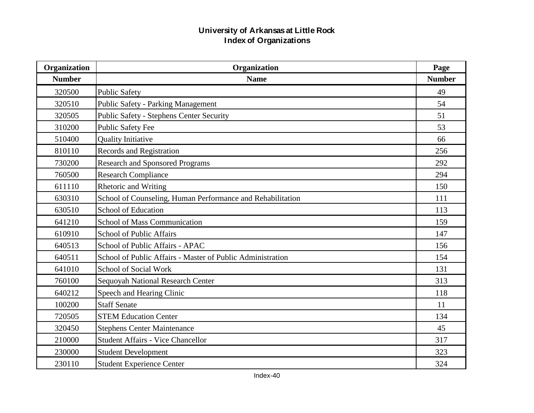| Organization  | Organization                                               | Page          |
|---------------|------------------------------------------------------------|---------------|
| <b>Number</b> | <b>Name</b>                                                | <b>Number</b> |
| 320500        | <b>Public Safety</b>                                       | 49            |
| 320510        | <b>Public Safety - Parking Management</b>                  | 54            |
| 320505        | <b>Public Safety - Stephens Center Security</b>            | 51            |
| 310200        | <b>Public Safety Fee</b>                                   | 53            |
| 510400        | <b>Quality Initiative</b>                                  | 66            |
| 810110        | <b>Records and Registration</b>                            | 256           |
| 730200        | <b>Research and Sponsored Programs</b>                     | 292           |
| 760500        | <b>Research Compliance</b>                                 | 294           |
| 611110        | Rhetoric and Writing                                       | 150           |
| 630310        | School of Counseling, Human Performance and Rehabilitation | 111           |
| 630510        | <b>School of Education</b>                                 | 113           |
| 641210        | <b>School of Mass Communication</b>                        | 159           |
| 610910        | <b>School of Public Affairs</b>                            | 147           |
| 640513        | School of Public Affairs - APAC                            | 156           |
| 640511        | School of Public Affairs - Master of Public Administration | 154           |
| 641010        | School of Social Work                                      | 131           |
| 760100        | Sequoyah National Research Center                          | 313           |
| 640212        | Speech and Hearing Clinic                                  | 118           |
| 100200        | <b>Staff Senate</b>                                        | 11            |
| 720505        | <b>STEM Education Center</b>                               | 134           |
| 320450        | <b>Stephens Center Maintenance</b>                         | 45            |
| 210000        | <b>Student Affairs - Vice Chancellor</b>                   | 317           |
| 230000        | <b>Student Development</b>                                 | 323           |
| 230110        | <b>Student Experience Center</b>                           | 324           |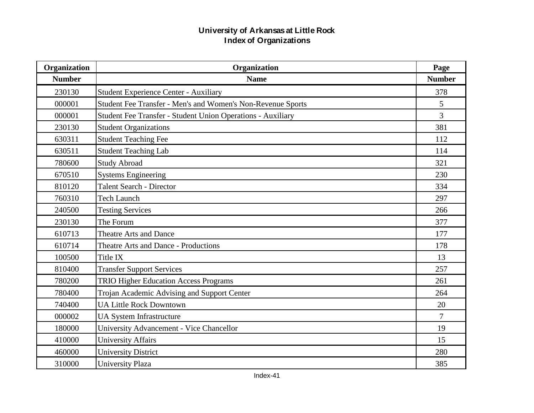| Organization  | Organization                                                |                |  |
|---------------|-------------------------------------------------------------|----------------|--|
| <b>Number</b> | <b>Name</b>                                                 | <b>Number</b>  |  |
| 230130        | <b>Student Experience Center - Auxiliary</b>                | 378            |  |
| 000001        | Student Fee Transfer - Men's and Women's Non-Revenue Sports | 5              |  |
| 000001        | Student Fee Transfer - Student Union Operations - Auxiliary | $\overline{3}$ |  |
| 230130        | <b>Student Organizations</b>                                | 381            |  |
| 630311        | <b>Student Teaching Fee</b>                                 | 112            |  |
| 630511        | <b>Student Teaching Lab</b>                                 | 114            |  |
| 780600        | <b>Study Abroad</b>                                         | 321            |  |
| 670510        | <b>Systems Engineering</b>                                  | 230            |  |
| 810120        | <b>Talent Search - Director</b>                             | 334            |  |
| 760310        | <b>Tech Launch</b>                                          | 297            |  |
| 240500        | <b>Testing Services</b>                                     | 266            |  |
| 230130        | The Forum                                                   | 377            |  |
| 610713        | <b>Theatre Arts and Dance</b>                               | 177            |  |
| 610714        | Theatre Arts and Dance - Productions                        | 178            |  |
| 100500        | Title IX                                                    | 13             |  |
| 810400        | <b>Transfer Support Services</b>                            | 257            |  |
| 780200        | <b>TRIO Higher Education Access Programs</b>                | 261            |  |
| 780400        | Trojan Academic Advising and Support Center                 | 264            |  |
| 740400        | <b>UA Little Rock Downtown</b>                              | 20             |  |
| 000002        | <b>UA System Infrastructure</b>                             | $\overline{7}$ |  |
| 180000        | University Advancement - Vice Chancellor                    | 19             |  |
| 410000        | <b>University Affairs</b>                                   | 15             |  |
| 460000        | <b>University District</b>                                  | 280            |  |
| 310000        | <b>University Plaza</b>                                     | 385            |  |